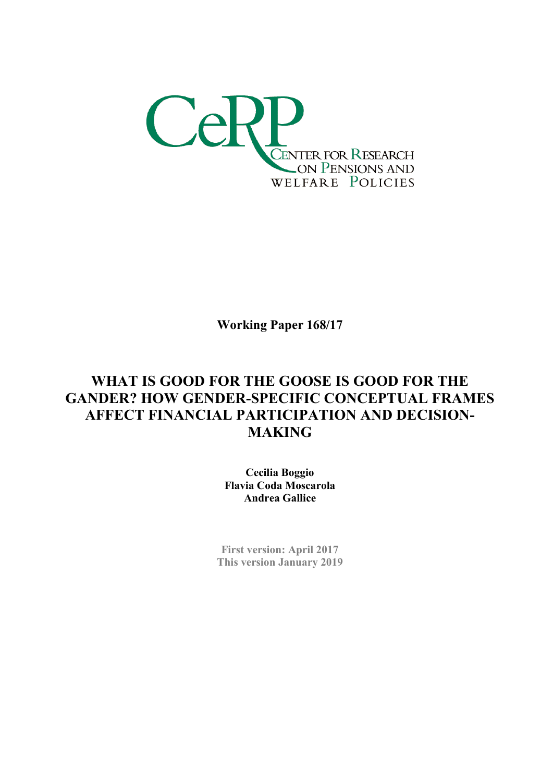

Working Paper 168/17

# WHAT IS GOOD FOR THE GOOSE IS GOOD FOR THE GANDER? HOW GENDER-SPECIFIC CONCEPTUAL FRAMES AFFECT FINANCIAL PARTICIPATION AND DECISION-MAKING

Cecilia Boggio Flavia Coda Moscarola Andrea Gallice

First version: April 2017 This version January 2019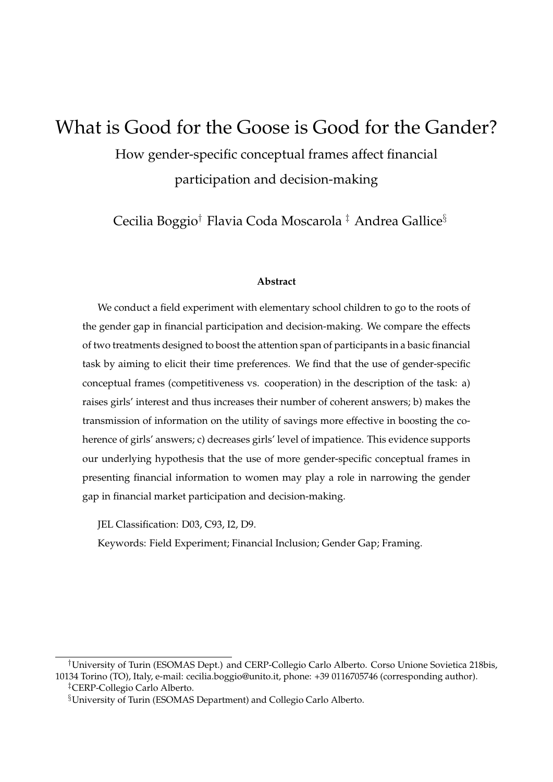# What is Good for the Goose is Good for the Gander?

How gender-specific conceptual frames affect financial participation and decision-making

Cecilia Boggio† Flavia Coda Moscarola ‡ Andrea Gallice§

#### **Abstract**

We conduct a field experiment with elementary school children to go to the roots of the gender gap in financial participation and decision-making. We compare the effects of two treatments designed to boost the attention span of participants in a basic financial task by aiming to elicit their time preferences. We find that the use of gender-specific conceptual frames (competitiveness vs. cooperation) in the description of the task: a) raises girls' interest and thus increases their number of coherent answers; b) makes the transmission of information on the utility of savings more effective in boosting the coherence of girls' answers; c) decreases girls' level of impatience. This evidence supports our underlying hypothesis that the use of more gender-specific conceptual frames in presenting financial information to women may play a role in narrowing the gender gap in financial market participation and decision-making.

JEL Classification: D03, C93, I2, D9.

Keywords: Field Experiment; Financial Inclusion; Gender Gap; Framing.

<sup>†</sup>University of Turin (ESOMAS Dept.) and CERP-Collegio Carlo Alberto. Corso Unione Sovietica 218bis, 10134 Torino (TO), Italy, e-mail: cecilia.boggio@unito.it, phone: +39 0116705746 (corresponding author). ‡CERP-Collegio Carlo Alberto.

<sup>§</sup>University of Turin (ESOMAS Department) and Collegio Carlo Alberto.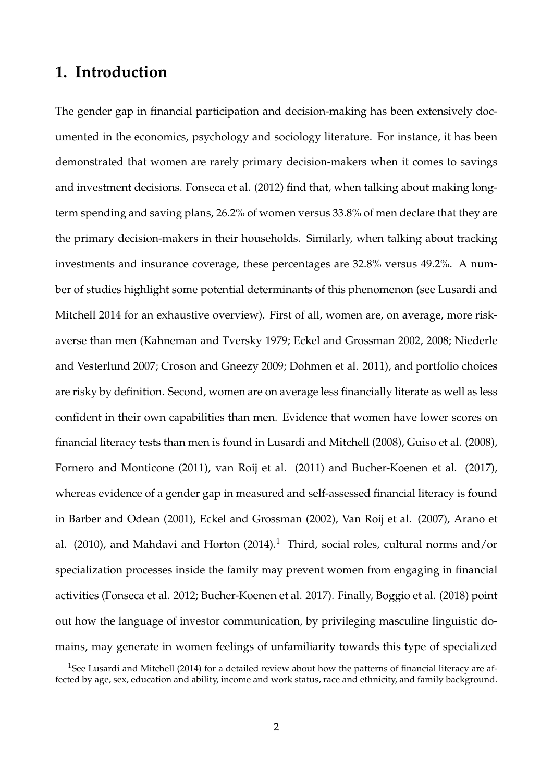## **1. Introduction**

The gender gap in financial participation and decision-making has been extensively documented in the economics, psychology and sociology literature. For instance, it has been demonstrated that women are rarely primary decision-makers when it comes to savings and investment decisions. Fonseca et al. (2012) find that, when talking about making longterm spending and saving plans, 26.2% of women versus 33.8% of men declare that they are the primary decision-makers in their households. Similarly, when talking about tracking investments and insurance coverage, these percentages are 32.8% versus 49.2%. A number of studies highlight some potential determinants of this phenomenon (see Lusardi and Mitchell 2014 for an exhaustive overview). First of all, women are, on average, more riskaverse than men (Kahneman and Tversky 1979; Eckel and Grossman 2002, 2008; Niederle and Vesterlund 2007; Croson and Gneezy 2009; Dohmen et al. 2011), and portfolio choices are risky by definition. Second, women are on average less financially literate as well as less confident in their own capabilities than men. Evidence that women have lower scores on financial literacy tests than men is found in Lusardi and Mitchell (2008), Guiso et al. (2008), Fornero and Monticone (2011), van Roij et al. (2011) and Bucher-Koenen et al. (2017), whereas evidence of a gender gap in measured and self-assessed financial literacy is found in Barber and Odean (2001), Eckel and Grossman (2002), Van Roij et al. (2007), Arano et al. (2010), and Mahdavi and Horton (2014).<sup>1</sup> Third, social roles, cultural norms and/or specialization processes inside the family may prevent women from engaging in financial activities (Fonseca et al. 2012; Bucher-Koenen et al. 2017). Finally, Boggio et al. (2018) point out how the language of investor communication, by privileging masculine linguistic domains, may generate in women feelings of unfamiliarity towards this type of specialized

<sup>&</sup>lt;sup>1</sup>See Lusardi and Mitchell (2014) for a detailed review about how the patterns of financial literacy are affected by age, sex, education and ability, income and work status, race and ethnicity, and family background.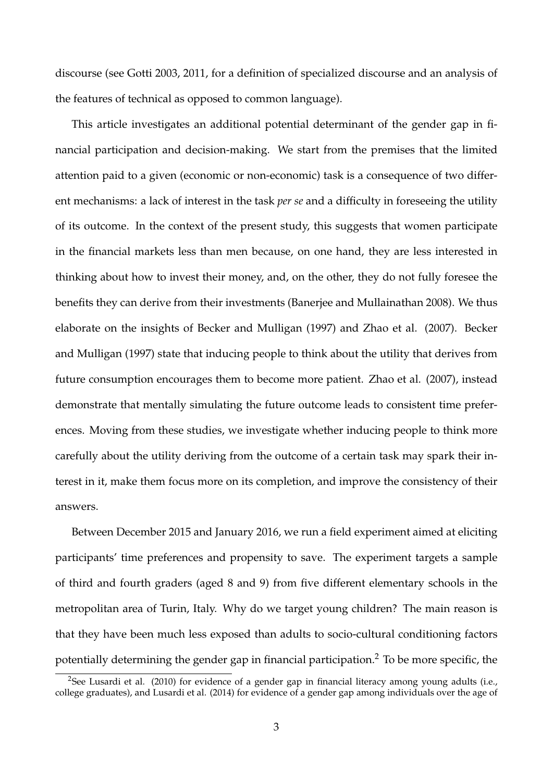discourse (see Gotti 2003, 2011, for a definition of specialized discourse and an analysis of the features of technical as opposed to common language).

This article investigates an additional potential determinant of the gender gap in financial participation and decision-making. We start from the premises that the limited attention paid to a given (economic or non-economic) task is a consequence of two different mechanisms: a lack of interest in the task *per se* and a difficulty in foreseeing the utility of its outcome. In the context of the present study, this suggests that women participate in the financial markets less than men because, on one hand, they are less interested in thinking about how to invest their money, and, on the other, they do not fully foresee the benefits they can derive from their investments (Banerjee and Mullainathan 2008). We thus elaborate on the insights of Becker and Mulligan (1997) and Zhao et al. (2007). Becker and Mulligan (1997) state that inducing people to think about the utility that derives from future consumption encourages them to become more patient. Zhao et al. (2007), instead demonstrate that mentally simulating the future outcome leads to consistent time preferences. Moving from these studies, we investigate whether inducing people to think more carefully about the utility deriving from the outcome of a certain task may spark their interest in it, make them focus more on its completion, and improve the consistency of their answers.

Between December 2015 and January 2016, we run a field experiment aimed at eliciting participants' time preferences and propensity to save. The experiment targets a sample of third and fourth graders (aged 8 and 9) from five different elementary schools in the metropolitan area of Turin, Italy. Why do we target young children? The main reason is that they have been much less exposed than adults to socio-cultural conditioning factors potentially determining the gender gap in financial participation.<sup>2</sup> To be more specific, the

<sup>&</sup>lt;sup>2</sup>See Lusardi et al. (2010) for evidence of a gender gap in financial literacy among young adults (i.e., college graduates), and Lusardi et al. (2014) for evidence of a gender gap among individuals over the age of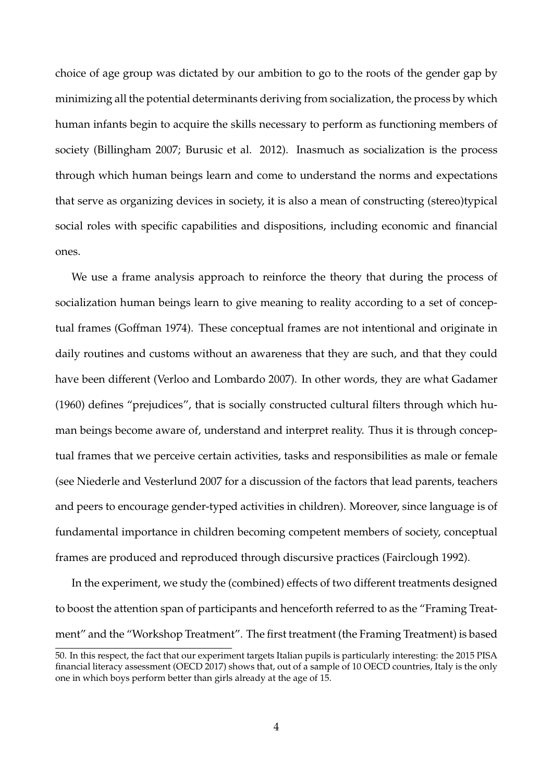choice of age group was dictated by our ambition to go to the roots of the gender gap by minimizing all the potential determinants deriving from socialization, the process by which human infants begin to acquire the skills necessary to perform as functioning members of society (Billingham 2007; Burusic et al. 2012). Inasmuch as socialization is the process through which human beings learn and come to understand the norms and expectations that serve as organizing devices in society, it is also a mean of constructing (stereo)typical social roles with specific capabilities and dispositions, including economic and financial ones.

We use a frame analysis approach to reinforce the theory that during the process of socialization human beings learn to give meaning to reality according to a set of conceptual frames (Goffman 1974). These conceptual frames are not intentional and originate in daily routines and customs without an awareness that they are such, and that they could have been different (Verloo and Lombardo 2007). In other words, they are what Gadamer (1960) defines "prejudices", that is socially constructed cultural filters through which human beings become aware of, understand and interpret reality. Thus it is through conceptual frames that we perceive certain activities, tasks and responsibilities as male or female (see Niederle and Vesterlund 2007 for a discussion of the factors that lead parents, teachers and peers to encourage gender-typed activities in children). Moreover, since language is of fundamental importance in children becoming competent members of society, conceptual frames are produced and reproduced through discursive practices (Fairclough 1992).

In the experiment, we study the (combined) effects of two different treatments designed to boost the attention span of participants and henceforth referred to as the "Framing Treatment" and the "Workshop Treatment". The first treatment (the Framing Treatment) is based

<sup>50.</sup> In this respect, the fact that our experiment targets Italian pupils is particularly interesting: the 2015 PISA financial literacy assessment (OECD 2017) shows that, out of a sample of 10 OECD countries, Italy is the only one in which boys perform better than girls already at the age of 15.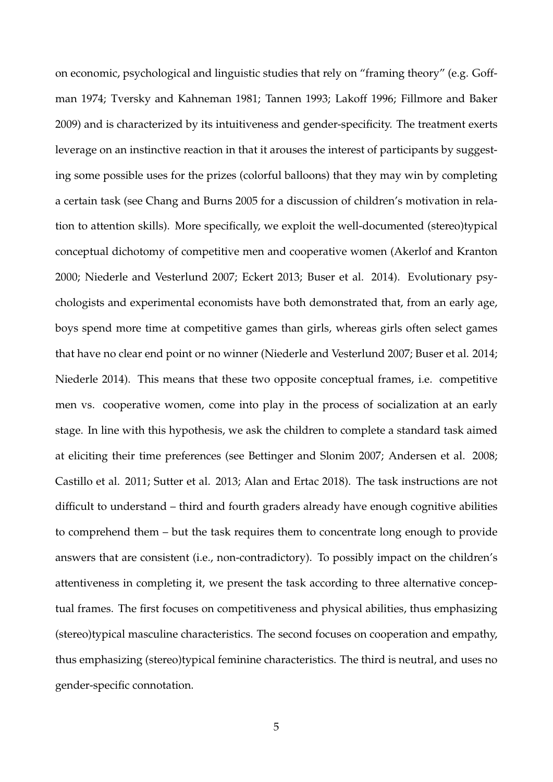on economic, psychological and linguistic studies that rely on "framing theory" (e.g. Goffman 1974; Tversky and Kahneman 1981; Tannen 1993; Lakoff 1996; Fillmore and Baker 2009) and is characterized by its intuitiveness and gender-specificity. The treatment exerts leverage on an instinctive reaction in that it arouses the interest of participants by suggesting some possible uses for the prizes (colorful balloons) that they may win by completing a certain task (see Chang and Burns 2005 for a discussion of children's motivation in relation to attention skills). More specifically, we exploit the well-documented (stereo)typical conceptual dichotomy of competitive men and cooperative women (Akerlof and Kranton 2000; Niederle and Vesterlund 2007; Eckert 2013; Buser et al. 2014). Evolutionary psychologists and experimental economists have both demonstrated that, from an early age, boys spend more time at competitive games than girls, whereas girls often select games that have no clear end point or no winner (Niederle and Vesterlund 2007; Buser et al. 2014; Niederle 2014). This means that these two opposite conceptual frames, i.e. competitive men vs. cooperative women, come into play in the process of socialization at an early stage. In line with this hypothesis, we ask the children to complete a standard task aimed at eliciting their time preferences (see Bettinger and Slonim 2007; Andersen et al. 2008; Castillo et al. 2011; Sutter et al. 2013; Alan and Ertac 2018). The task instructions are not difficult to understand – third and fourth graders already have enough cognitive abilities to comprehend them – but the task requires them to concentrate long enough to provide answers that are consistent (i.e., non-contradictory). To possibly impact on the children's attentiveness in completing it, we present the task according to three alternative conceptual frames. The first focuses on competitiveness and physical abilities, thus emphasizing (stereo)typical masculine characteristics. The second focuses on cooperation and empathy, thus emphasizing (stereo)typical feminine characteristics. The third is neutral, and uses no gender-specific connotation.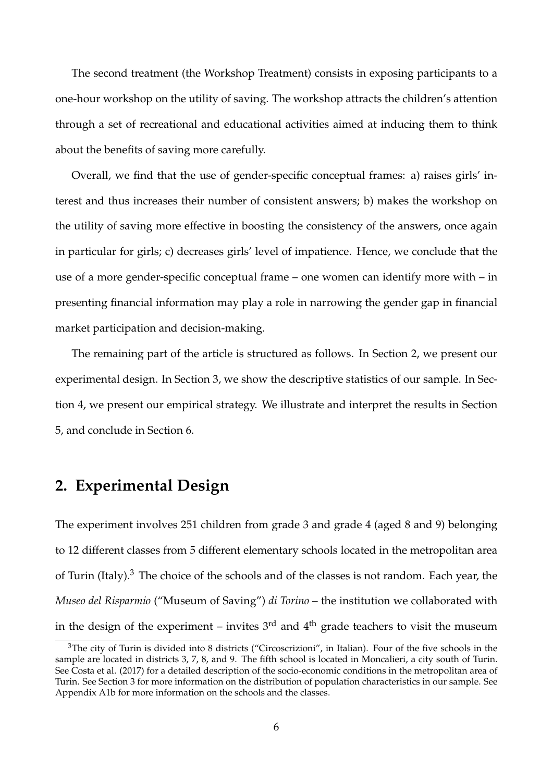The second treatment (the Workshop Treatment) consists in exposing participants to a one-hour workshop on the utility of saving. The workshop attracts the children's attention through a set of recreational and educational activities aimed at inducing them to think about the benefits of saving more carefully.

Overall, we find that the use of gender-specific conceptual frames: a) raises girls' interest and thus increases their number of consistent answers; b) makes the workshop on the utility of saving more effective in boosting the consistency of the answers, once again in particular for girls; c) decreases girls' level of impatience. Hence, we conclude that the use of a more gender-specific conceptual frame – one women can identify more with – in presenting financial information may play a role in narrowing the gender gap in financial market participation and decision-making.

The remaining part of the article is structured as follows. In Section 2, we present our experimental design. In Section 3, we show the descriptive statistics of our sample. In Section 4, we present our empirical strategy. We illustrate and interpret the results in Section 5, and conclude in Section 6.

## **2. Experimental Design**

The experiment involves 251 children from grade 3 and grade 4 (aged 8 and 9) belonging to 12 different classes from 5 different elementary schools located in the metropolitan area of Turin (Italy). $3$  The choice of the schools and of the classes is not random. Each year, the *Museo del Risparmio* ("Museum of Saving") *di Torino* – the institution we collaborated with in the design of the experiment – invites  $3<sup>rd</sup>$  and  $4<sup>th</sup>$  grade teachers to visit the museum

<sup>&</sup>lt;sup>3</sup>The city of Turin is divided into 8 districts ("Circoscrizioni", in Italian). Four of the five schools in the sample are located in districts 3, 7, 8, and 9. The fifth school is located in Moncalieri, a city south of Turin. See Costa et al. (2017) for a detailed description of the socio-economic conditions in the metropolitan area of Turin. See Section 3 for more information on the distribution of population characteristics in our sample. See Appendix A1b for more information on the schools and the classes.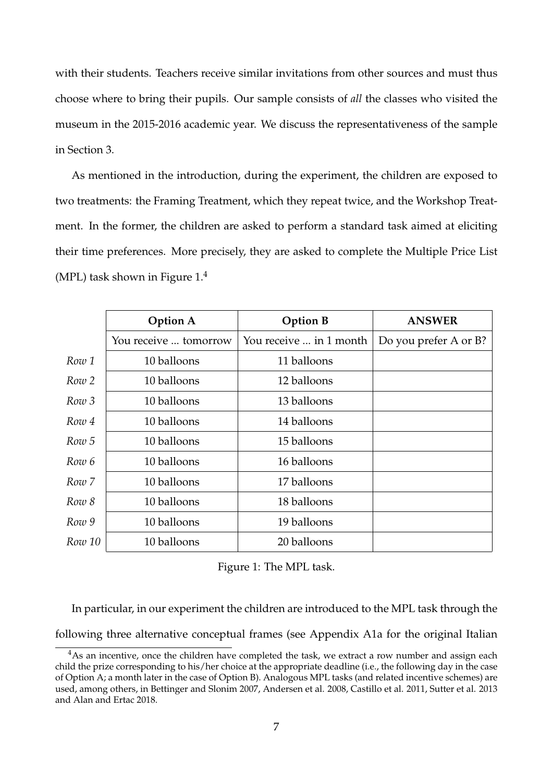with their students. Teachers receive similar invitations from other sources and must thus choose where to bring their pupils. Our sample consists of *all* the classes who visited the museum in the 2015-2016 academic year. We discuss the representativeness of the sample in Section 3.

As mentioned in the introduction, during the experiment, the children are exposed to two treatments: the Framing Treatment, which they repeat twice, and the Workshop Treatment. In the former, the children are asked to perform a standard task aimed at eliciting their time preferences. More precisely, they are asked to complete the Multiple Price List (MPL) task shown in Figure  $1<sup>4</sup>$ 

|        | <b>Option A</b>       | <b>Option B</b>         | <b>ANSWER</b>         |
|--------|-----------------------|-------------------------|-----------------------|
|        | You receive  tomorrow | You receive  in 1 month | Do you prefer A or B? |
| Row 1  | 10 balloons           | 11 balloons             |                       |
| Row 2  | 10 balloons           | 12 balloons             |                       |
| Row 3  | 10 balloons           | 13 balloons             |                       |
| Row 4  | 10 balloons           | 14 balloons             |                       |
| Row 5  | 10 balloons           | 15 balloons             |                       |
| Row 6  | 10 balloons           | 16 balloons             |                       |
| Row 7  | 10 balloons           | 17 balloons             |                       |
| Row 8  | 10 balloons           | 18 balloons             |                       |
| Row 9  | 10 balloons           | 19 balloons             |                       |
| Row 10 | 10 balloons           | 20 balloons             |                       |
|        |                       |                         |                       |

Figure 1: The MPL task.

In particular, in our experiment the children are introduced to the MPL task through the

following three alternative conceptual frames (see Appendix A1a for the original Italian

<sup>&</sup>lt;sup>4</sup>As an incentive, once the children have completed the task, we extract a row number and assign each child the prize corresponding to his/her choice at the appropriate deadline (i.e., the following day in the case of Option A; a month later in the case of Option B). Analogous MPL tasks (and related incentive schemes) are used, among others, in Bettinger and Slonim 2007, Andersen et al. 2008, Castillo et al. 2011, Sutter et al. 2013 and Alan and Ertac 2018.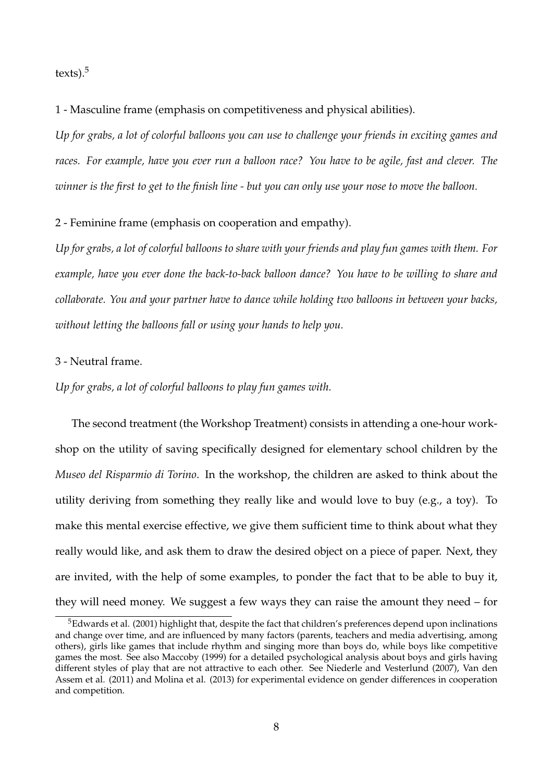$textes).<sup>5</sup>$ 

1 - Masculine frame (emphasis on competitiveness and physical abilities).

*Up for grabs, a lot of colorful balloons you can use to challenge your friends in exciting games and races. For example, have you ever run a balloon race? You have to be agile, fast and clever. The winner is the first to get to the finish line - but you can only use your nose to move the balloon.*

2 - Feminine frame (emphasis on cooperation and empathy).

*Up for grabs, a lot of colorful balloons to share with your friends and play fun games with them. For example, have you ever done the back-to-back balloon dance? You have to be willing to share and collaborate. You and your partner have to dance while holding two balloons in between your backs, without letting the balloons fall or using your hands to help you.*

### 3 - Neutral frame.

*Up for grabs, a lot of colorful balloons to play fun games with.*

The second treatment (the Workshop Treatment) consists in attending a one-hour workshop on the utility of saving specifically designed for elementary school children by the *Museo del Risparmio di Torino*. In the workshop, the children are asked to think about the utility deriving from something they really like and would love to buy (e.g., a toy). To make this mental exercise effective, we give them sufficient time to think about what they really would like, and ask them to draw the desired object on a piece of paper. Next, they are invited, with the help of some examples, to ponder the fact that to be able to buy it, they will need money. We suggest a few ways they can raise the amount they need – for

<sup>&</sup>lt;sup>5</sup>Edwards et al. (2001) highlight that, despite the fact that children's preferences depend upon inclinations and change over time, and are influenced by many factors (parents, teachers and media advertising, among others), girls like games that include rhythm and singing more than boys do, while boys like competitive games the most. See also Maccoby (1999) for a detailed psychological analysis about boys and girls having different styles of play that are not attractive to each other. See Niederle and Vesterlund (2007), Van den Assem et al. (2011) and Molina et al. (2013) for experimental evidence on gender differences in cooperation and competition.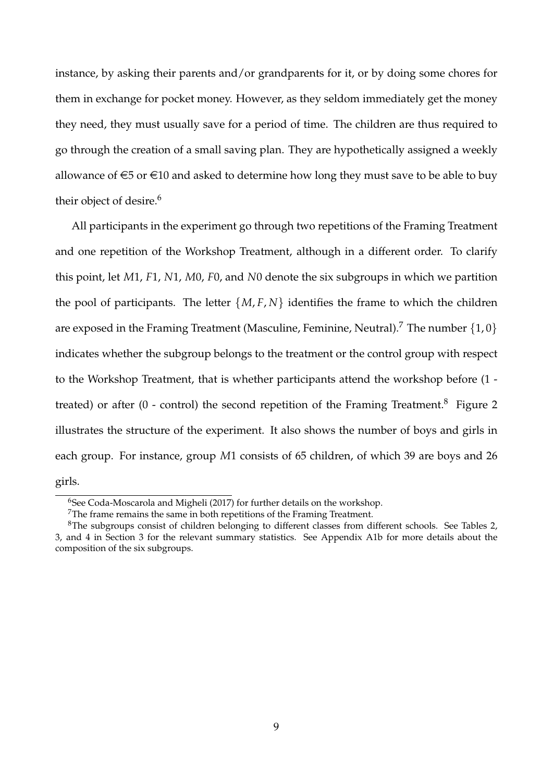instance, by asking their parents and/or grandparents for it, or by doing some chores for them in exchange for pocket money. However, as they seldom immediately get the money they need, they must usually save for a period of time. The children are thus required to go through the creation of a small saving plan. They are hypothetically assigned a weekly allowance of  $\epsilon$ 5 or  $\epsilon$ 10 and asked to determine how long they must save to be able to buy their object of desire.<sup>6</sup>

All participants in the experiment go through two repetitions of the Framing Treatment and one repetition of the Workshop Treatment, although in a different order. To clarify this point, let *M*1, *F*1, *N*1, *M*0, *F*0, and *N*0 denote the six subgroups in which we partition the pool of participants. The letter  $\{M, F, N\}$  identifies the frame to which the children are exposed in the Framing Treatment (Masculine, Feminine, Neutral).<sup>7</sup> The number  $\{1,0\}$ indicates whether the subgroup belongs to the treatment or the control group with respect to the Workshop Treatment, that is whether participants attend the workshop before (1 treated) or after  $(0 -$  control) the second repetition of the Framing Treatment.<sup>8</sup> Figure 2 illustrates the structure of the experiment. It also shows the number of boys and girls in each group. For instance, group *M*1 consists of 65 children, of which 39 are boys and 26 girls.

<sup>&</sup>lt;sup>6</sup>See Coda-Moscarola and Migheli (2017) for further details on the workshop.

<sup>7</sup>The frame remains the same in both repetitions of the Framing Treatment.

<sup>8</sup>The subgroups consist of children belonging to different classes from different schools. See Tables 2, 3, and 4 in Section 3 for the relevant summary statistics. See Appendix A1b for more details about the composition of the six subgroups.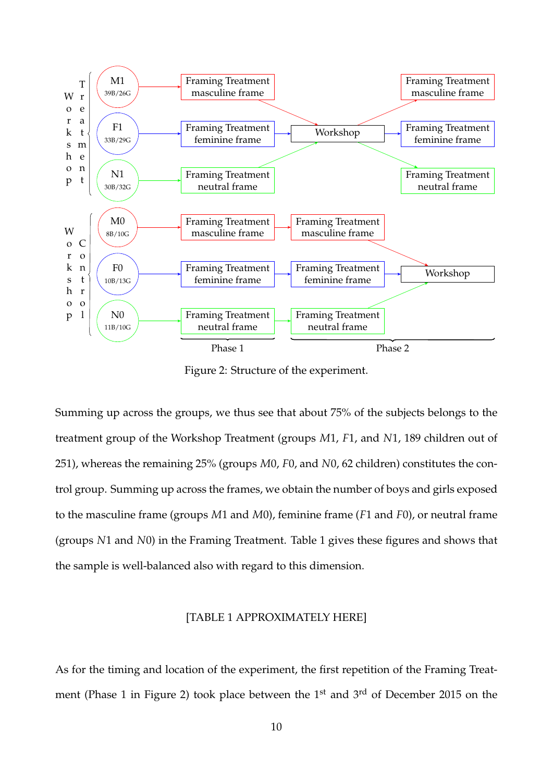

Figure 2: Structure of the experiment.

Summing up across the groups, we thus see that about 75% of the subjects belongs to the treatment group of the Workshop Treatment (groups *M*1, *F*1, and *N*1, 189 children out of 251), whereas the remaining 25% (groups *M*0, *F*0, and *N*0, 62 children) constitutes the control group. Summing up across the frames, we obtain the number of boys and girls exposed to the masculine frame (groups *M*1 and *M*0), feminine frame (*F*1 and *F*0), or neutral frame (groups *N*1 and *N*0) in the Framing Treatment. Table 1 gives these figures and shows that the sample is well-balanced also with regard to this dimension.

#### [TABLE 1 APPROXIMATELY HERE]

As for the timing and location of the experiment, the first repetition of the Framing Treatment (Phase 1 in Figure 2) took place between the 1<sup>st</sup> and 3<sup>rd</sup> of December 2015 on the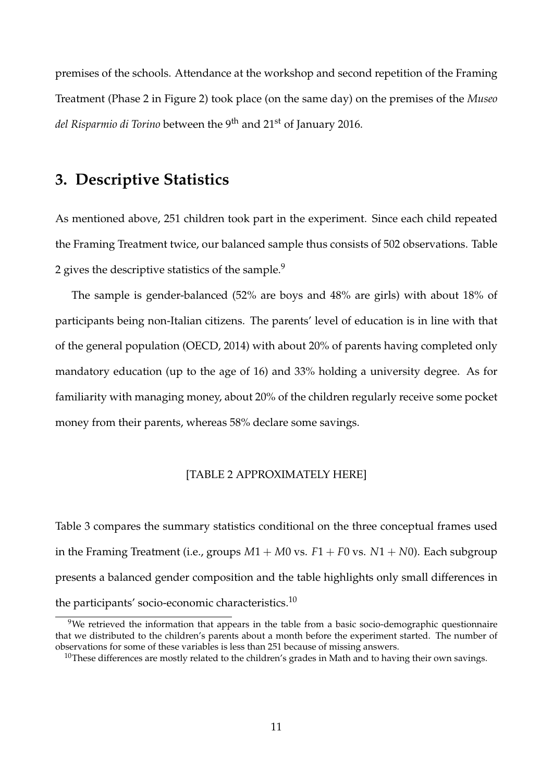premises of the schools. Attendance at the workshop and second repetition of the Framing Treatment (Phase 2 in Figure 2) took place (on the same day) on the premises of the *Museo del Risparmio di Torino* between the 9th and 21st of January 2016.

## **3. Descriptive Statistics**

As mentioned above, 251 children took part in the experiment. Since each child repeated the Framing Treatment twice, our balanced sample thus consists of 502 observations. Table 2 gives the descriptive statistics of the sample.<sup>9</sup>

The sample is gender-balanced (52% are boys and 48% are girls) with about 18% of participants being non-Italian citizens. The parents' level of education is in line with that of the general population (OECD, 2014) with about 20% of parents having completed only mandatory education (up to the age of 16) and 33% holding a university degree. As for familiarity with managing money, about 20% of the children regularly receive some pocket money from their parents, whereas 58% declare some savings.

### [TABLE 2 APPROXIMATELY HERE]

Table 3 compares the summary statistics conditional on the three conceptual frames used in the Framing Treatment (i.e., groups  $M1 + M0$  vs.  $F1 + F0$  vs.  $N1 + N0$ ). Each subgroup presents a balanced gender composition and the table highlights only small differences in the participants' socio-economic characteristics.<sup>10</sup>

<sup>&</sup>lt;sup>9</sup>We retrieved the information that appears in the table from a basic socio-demographic questionnaire that we distributed to the children's parents about a month before the experiment started. The number of observations for some of these variables is less than 251 because of missing answers.

<sup>&</sup>lt;sup>10</sup>These differences are mostly related to the children's grades in Math and to having their own savings.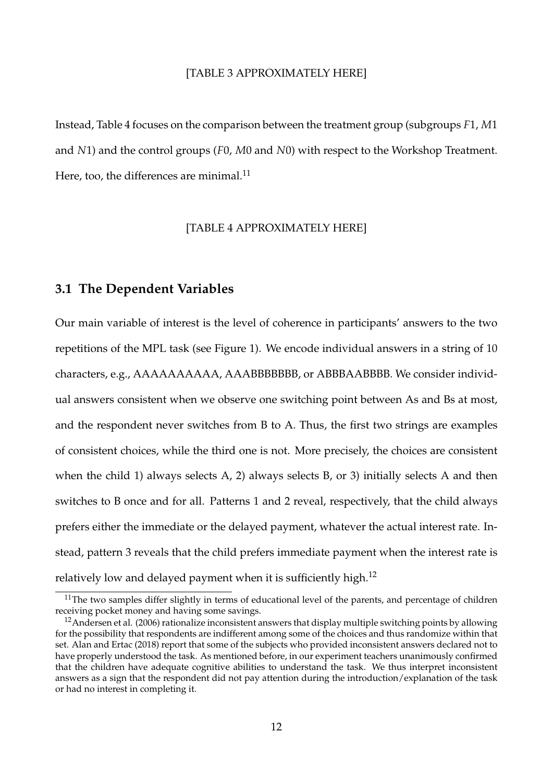#### [TABLE 3 APPROXIMATELY HERE]

Instead, Table 4 focuses on the comparison between the treatment group (subgroups *F*1, *M*1 and *N*1) and the control groups (*F*0, *M*0 and *N*0) with respect to the Workshop Treatment. Here, too, the differences are minimal. $^{11}$ 

#### [TABLE 4 APPROXIMATELY HERE]

### **3.1 The Dependent Variables**

Our main variable of interest is the level of coherence in participants' answers to the two repetitions of the MPL task (see Figure 1). We encode individual answers in a string of 10 characters, e.g., AAAAAAAAAA, AAABBBBBBB, or ABBBAABBBB. We consider individual answers consistent when we observe one switching point between As and Bs at most, and the respondent never switches from B to A. Thus, the first two strings are examples of consistent choices, while the third one is not. More precisely, the choices are consistent when the child 1) always selects A, 2) always selects B, or 3) initially selects A and then switches to B once and for all. Patterns 1 and 2 reveal, respectively, that the child always prefers either the immediate or the delayed payment, whatever the actual interest rate. Instead, pattern 3 reveals that the child prefers immediate payment when the interest rate is relatively low and delayed payment when it is sufficiently high.<sup>12</sup>

 $11$ The two samples differ slightly in terms of educational level of the parents, and percentage of children receiving pocket money and having some savings.

<sup>&</sup>lt;sup>12</sup> Andersen et al. (2006) rationalize inconsistent answers that display multiple switching points by allowing for the possibility that respondents are indifferent among some of the choices and thus randomize within that set. Alan and Ertac (2018) report that some of the subjects who provided inconsistent answers declared not to have properly understood the task. As mentioned before, in our experiment teachers unanimously confirmed that the children have adequate cognitive abilities to understand the task. We thus interpret inconsistent answers as a sign that the respondent did not pay attention during the introduction/explanation of the task or had no interest in completing it.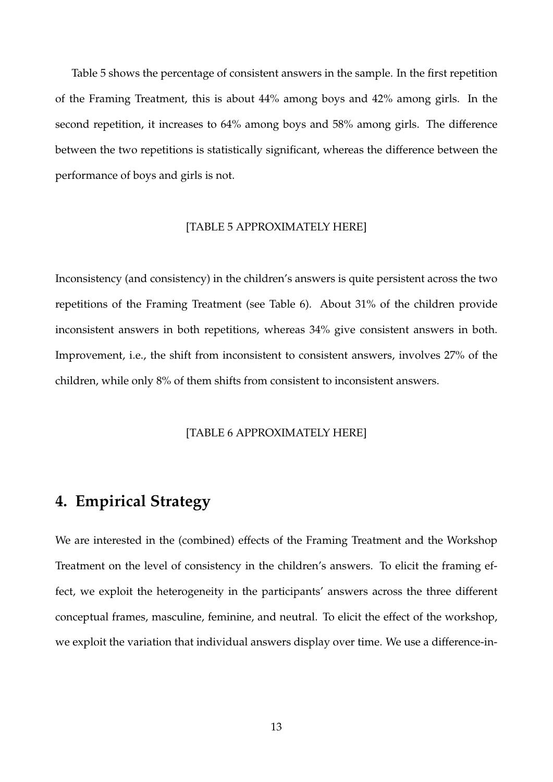Table 5 shows the percentage of consistent answers in the sample. In the first repetition of the Framing Treatment, this is about 44% among boys and 42% among girls. In the second repetition, it increases to 64% among boys and 58% among girls. The difference between the two repetitions is statistically significant, whereas the difference between the performance of boys and girls is not.

#### [TABLE 5 APPROXIMATELY HERE]

Inconsistency (and consistency) in the children's answers is quite persistent across the two repetitions of the Framing Treatment (see Table 6). About 31% of the children provide inconsistent answers in both repetitions, whereas 34% give consistent answers in both. Improvement, i.e., the shift from inconsistent to consistent answers, involves 27% of the children, while only 8% of them shifts from consistent to inconsistent answers.

#### [TABLE 6 APPROXIMATELY HERE]

## **4. Empirical Strategy**

We are interested in the (combined) effects of the Framing Treatment and the Workshop Treatment on the level of consistency in the children's answers. To elicit the framing effect, we exploit the heterogeneity in the participants' answers across the three different conceptual frames, masculine, feminine, and neutral. To elicit the effect of the workshop, we exploit the variation that individual answers display over time. We use a difference-in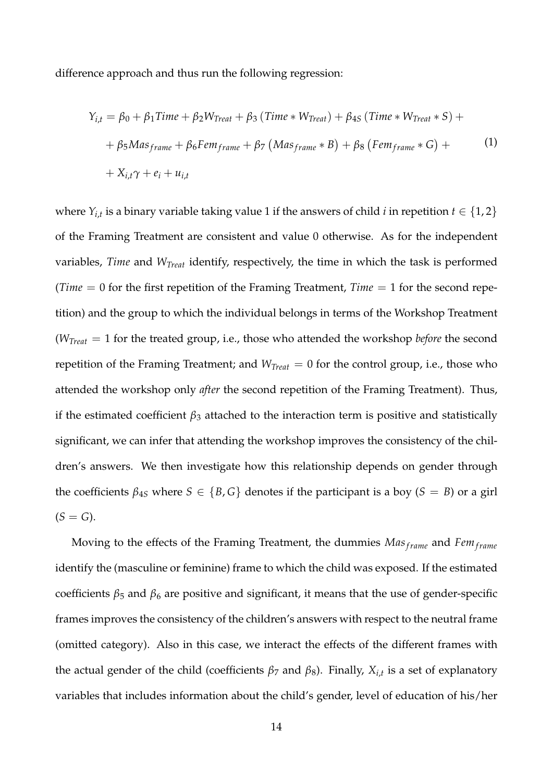difference approach and thus run the following regression:

$$
Y_{i,t} = \beta_0 + \beta_1 Time + \beta_2 W_{Treat} + \beta_3 (Time * W_{Treat}) + \beta_{4S} (Time * W_{Treat} * S) +
$$
  
+ 
$$
\beta_5 Mas_{frame} + \beta_6 Ferm_{frame} + \beta_7 (Mas_{frame} * B) + \beta_8 (Fem_{frame} * G) +
$$
  
+ 
$$
X_{i,t} \gamma + e_i + u_{i,t}
$$
 (1)

where  $Y_{i,t}$  is a binary variable taking value 1 if the answers of child *i* in repetition  $t \in \{1,2\}$ of the Framing Treatment are consistent and value 0 otherwise. As for the independent variables, *Time* and *WTreat* identify, respectively, the time in which the task is performed (*Time* = 0 for the first repetition of the Framing Treatment, *Time* = 1 for the second repetition) and the group to which the individual belongs in terms of the Workshop Treatment (*WTreat* = 1 for the treated group, i.e., those who attended the workshop *before* the second repetition of the Framing Treatment; and *WTreat* = 0 for the control group, i.e., those who attended the workshop only *after* the second repetition of the Framing Treatment). Thus, if the estimated coefficient  $\beta_3$  attached to the interaction term is positive and statistically significant, we can infer that attending the workshop improves the consistency of the children's answers. We then investigate how this relationship depends on gender through the coefficients  $\beta_{45}$  where  $S \in \{B, G\}$  denotes if the participant is a boy  $(S = B)$  or a girl  $(S = G)$ .

Moving to the effects of the Framing Treatment, the dummies Mas<sub>frame</sub> and *Fem*<sub>frame</sub> identify the (masculine or feminine) frame to which the child was exposed. If the estimated coefficients  $\beta_5$  and  $\beta_6$  are positive and significant, it means that the use of gender-specific frames improves the consistency of the children's answers with respect to the neutral frame (omitted category). Also in this case, we interact the effects of the different frames with the actual gender of the child (coefficients *β*<sup>7</sup> and *β*8). Finally, *Xi*,*<sup>t</sup>* is a set of explanatory variables that includes information about the child's gender, level of education of his/her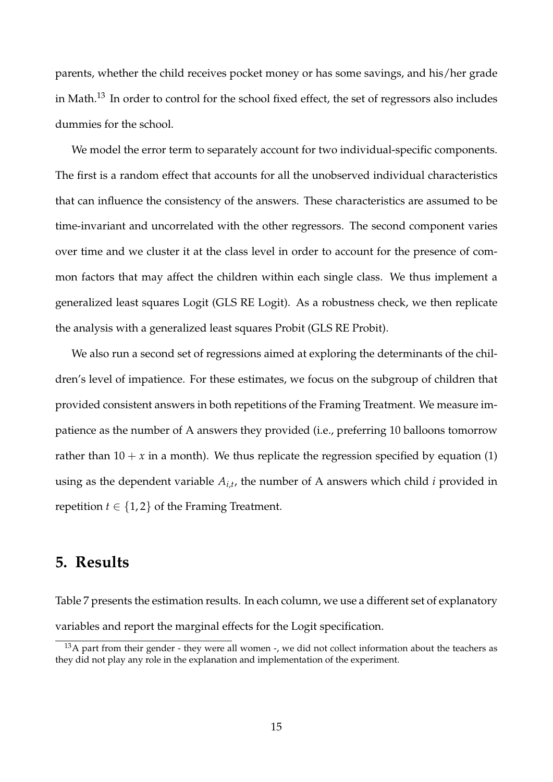parents, whether the child receives pocket money or has some savings, and his/her grade in Math.<sup>13</sup> In order to control for the school fixed effect, the set of regressors also includes dummies for the school.

We model the error term to separately account for two individual-specific components. The first is a random effect that accounts for all the unobserved individual characteristics that can influence the consistency of the answers. These characteristics are assumed to be time-invariant and uncorrelated with the other regressors. The second component varies over time and we cluster it at the class level in order to account for the presence of common factors that may affect the children within each single class. We thus implement a generalized least squares Logit (GLS RE Logit). As a robustness check, we then replicate the analysis with a generalized least squares Probit (GLS RE Probit).

We also run a second set of regressions aimed at exploring the determinants of the children's level of impatience. For these estimates, we focus on the subgroup of children that provided consistent answers in both repetitions of the Framing Treatment. We measure impatience as the number of A answers they provided (i.e., preferring 10 balloons tomorrow rather than  $10 + x$  in a month). We thus replicate the regression specified by equation (1) using as the dependent variable *Ai*,*<sup>t</sup>* , the number of A answers which child *i* provided in repetition  $t \in \{1, 2\}$  of the Framing Treatment.

## **5. Results**

Table 7 presents the estimation results. In each column, we use a different set of explanatory variables and report the marginal effects for the Logit specification.

<sup>&</sup>lt;sup>13</sup>A part from their gender - they were all women -, we did not collect information about the teachers as they did not play any role in the explanation and implementation of the experiment.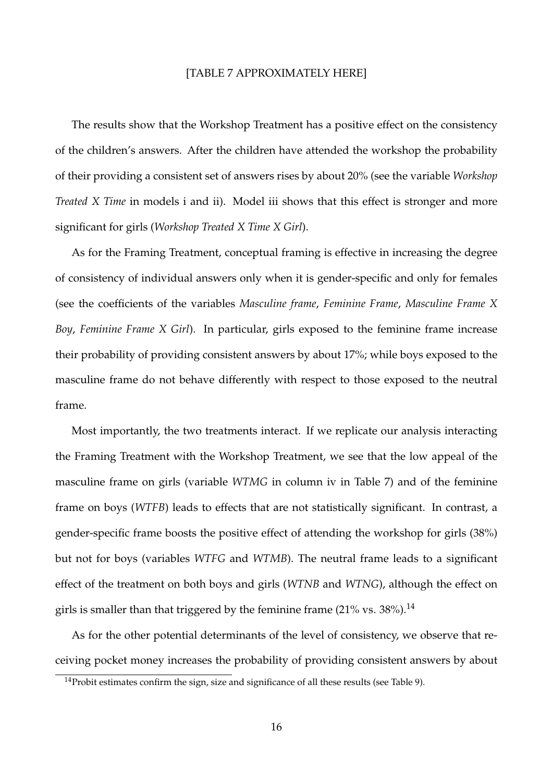#### [TABLE 7 APPROXIMATELY HERE]

The results show that the Workshop Treatment has a positive effect on the consistency of the children's answers. After the children have attended the workshop the probability of their providing a consistent set of answers rises by about 20% (see the variable *Workshop Treated X Time* in models i and ii). Model iii shows that this effect is stronger and more significant for girls (*Workshop Treated X Time X Girl*).

As for the Framing Treatment, conceptual framing is effective in increasing the degree of consistency of individual answers only when it is gender-specific and only for females (see the coefficients of the variables *Masculine frame*, *Feminine Frame*, *Masculine Frame X Boy*, *Feminine Frame X Girl*). In particular, girls exposed to the feminine frame increase their probability of providing consistent answers by about 17%; while boys exposed to the masculine frame do not behave differently with respect to those exposed to the neutral frame.

Most importantly, the two treatments interact. If we replicate our analysis interacting the Framing Treatment with the Workshop Treatment, we see that the low appeal of the masculine frame on girls (variable *WTMG* in column iv in Table 7) and of the feminine frame on boys (*WTFB*) leads to effects that are not statistically significant. In contrast, a gender-specific frame boosts the positive effect of attending the workshop for girls (38%) but not for boys (variables *WTFG* and *WTMB*). The neutral frame leads to a significant effect of the treatment on both boys and girls (*WTNB* and *WTNG*), although the effect on girls is smaller than that triggered by the feminine frame (21% vs.  $38\%$ ).<sup>14</sup>

As for the other potential determinants of the level of consistency, we observe that receiving pocket money increases the probability of providing consistent answers by about

 $14$ Probit estimates confirm the sign, size and significance of all these results (see Table 9).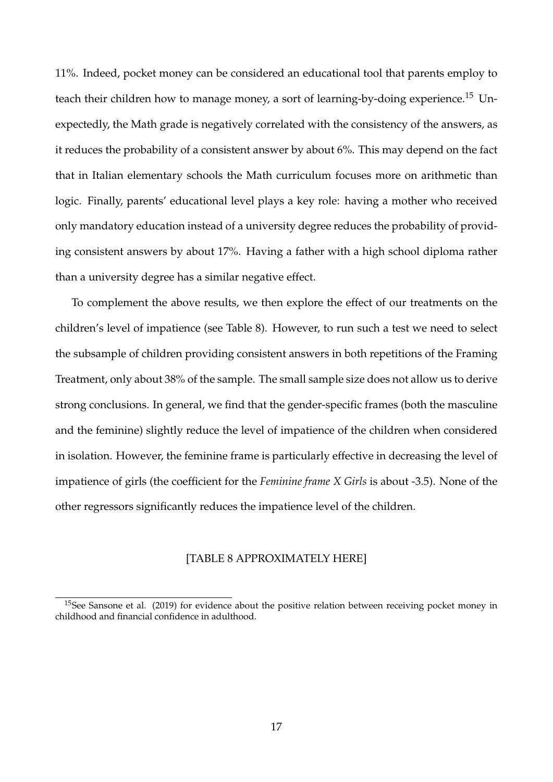11%. Indeed, pocket money can be considered an educational tool that parents employ to teach their children how to manage money, a sort of learning-by-doing experience.<sup>15</sup> Unexpectedly, the Math grade is negatively correlated with the consistency of the answers, as it reduces the probability of a consistent answer by about 6%. This may depend on the fact that in Italian elementary schools the Math curriculum focuses more on arithmetic than logic. Finally, parents' educational level plays a key role: having a mother who received only mandatory education instead of a university degree reduces the probability of providing consistent answers by about 17%. Having a father with a high school diploma rather than a university degree has a similar negative effect.

To complement the above results, we then explore the effect of our treatments on the children's level of impatience (see Table 8). However, to run such a test we need to select the subsample of children providing consistent answers in both repetitions of the Framing Treatment, only about 38% of the sample. The small sample size does not allow us to derive strong conclusions. In general, we find that the gender-specific frames (both the masculine and the feminine) slightly reduce the level of impatience of the children when considered in isolation. However, the feminine frame is particularly effective in decreasing the level of impatience of girls (the coefficient for the *Feminine frame X Girls* is about -3.5). None of the other regressors significantly reduces the impatience level of the children.

#### [TABLE 8 APPROXIMATELY HERE]

<sup>&</sup>lt;sup>15</sup>See Sansone et al. (2019) for evidence about the positive relation between receiving pocket money in childhood and financial confidence in adulthood.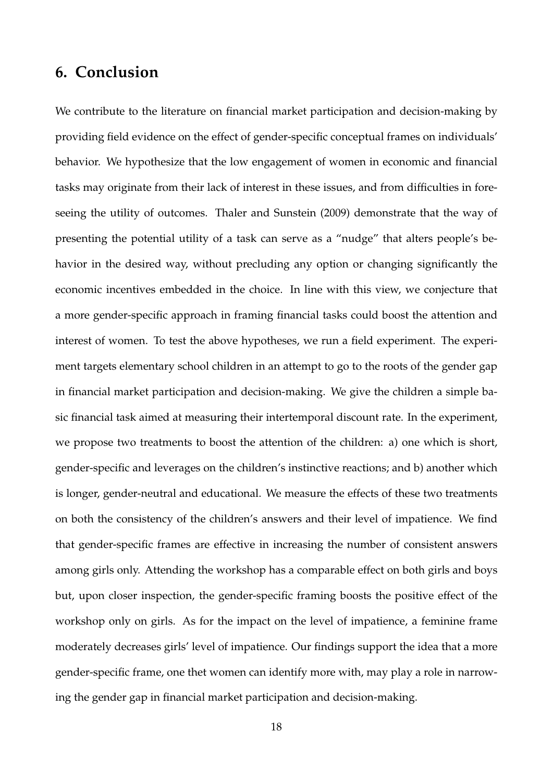## **6. Conclusion**

We contribute to the literature on financial market participation and decision-making by providing field evidence on the effect of gender-specific conceptual frames on individuals' behavior. We hypothesize that the low engagement of women in economic and financial tasks may originate from their lack of interest in these issues, and from difficulties in foreseeing the utility of outcomes. Thaler and Sunstein (2009) demonstrate that the way of presenting the potential utility of a task can serve as a "nudge" that alters people's behavior in the desired way, without precluding any option or changing significantly the economic incentives embedded in the choice. In line with this view, we conjecture that a more gender-specific approach in framing financial tasks could boost the attention and interest of women. To test the above hypotheses, we run a field experiment. The experiment targets elementary school children in an attempt to go to the roots of the gender gap in financial market participation and decision-making. We give the children a simple basic financial task aimed at measuring their intertemporal discount rate. In the experiment, we propose two treatments to boost the attention of the children: a) one which is short, gender-specific and leverages on the children's instinctive reactions; and b) another which is longer, gender-neutral and educational. We measure the effects of these two treatments on both the consistency of the children's answers and their level of impatience. We find that gender-specific frames are effective in increasing the number of consistent answers among girls only. Attending the workshop has a comparable effect on both girls and boys but, upon closer inspection, the gender-specific framing boosts the positive effect of the workshop only on girls. As for the impact on the level of impatience, a feminine frame moderately decreases girls' level of impatience. Our findings support the idea that a more gender-specific frame, one thet women can identify more with, may play a role in narrowing the gender gap in financial market participation and decision-making.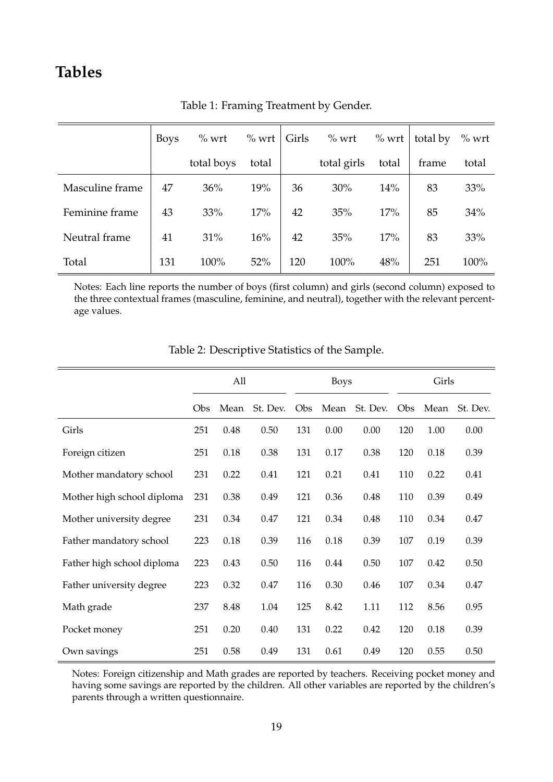# **Tables**

|                 | <b>Boys</b> | $\%$ wrt   | $\%$ wrt | Girls | $\%$ wrt    | $\%$ wrt | total by | $\%$ wrt |
|-----------------|-------------|------------|----------|-------|-------------|----------|----------|----------|
|                 |             | total boys | total    |       | total girls | total    | frame    | total    |
| Masculine frame | 47          | 36%        | 19%      | 36    | 30%         | 14%      | 83       | 33%      |
| Feminine frame  | 43          | 33%        | 17%      | 42    | 35%         | 17%      | 85       | 34%      |
| Neutral frame   | 41          | 31%        | 16%      | 42    | 35%         | 17%      | 83       | 33%      |
| Total           | 131         | 100%       | 52%      | 120   | 100%        | 48%      | 251      | 100%     |

Table 1: Framing Treatment by Gender.

Notes: Each line reports the number of boys (first column) and girls (second column) exposed to the three contextual frames (masculine, feminine, and neutral), together with the relevant percentage values.

|                            | All |      |          |     | <b>Boys</b> |          |     | Girls |          |  |
|----------------------------|-----|------|----------|-----|-------------|----------|-----|-------|----------|--|
|                            | Obs | Mean | St. Dev. | Obs | Mean        | St. Dev. | Obs | Mean  | St. Dev. |  |
| Girls                      | 251 | 0.48 | 0.50     | 131 | 0.00        | 0.00     | 120 | 1.00  | 0.00     |  |
| Foreign citizen            | 251 | 0.18 | 0.38     | 131 | 0.17        | 0.38     | 120 | 0.18  | 0.39     |  |
| Mother mandatory school    | 231 | 0.22 | 0.41     | 121 | 0.21        | 0.41     | 110 | 0.22  | 0.41     |  |
| Mother high school diploma | 231 | 0.38 | 0.49     | 121 | 0.36        | 0.48     | 110 | 0.39  | 0.49     |  |
| Mother university degree   | 231 | 0.34 | 0.47     | 121 | 0.34        | 0.48     | 110 | 0.34  | 0.47     |  |
| Father mandatory school    | 223 | 0.18 | 0.39     | 116 | 0.18        | 0.39     | 107 | 0.19  | 0.39     |  |
| Father high school diploma | 223 | 0.43 | 0.50     | 116 | 0.44        | 0.50     | 107 | 0.42  | 0.50     |  |
| Father university degree   | 223 | 0.32 | 0.47     | 116 | 0.30        | 0.46     | 107 | 0.34  | 0.47     |  |
| Math grade                 | 237 | 8.48 | 1.04     | 125 | 8.42        | 1.11     | 112 | 8.56  | 0.95     |  |
| Pocket money               | 251 | 0.20 | 0.40     | 131 | 0.22        | 0.42     | 120 | 0.18  | 0.39     |  |
| Own savings                | 251 | 0.58 | 0.49     | 131 | 0.61        | 0.49     | 120 | 0.55  | 0.50     |  |

Table 2: Descriptive Statistics of the Sample.

Notes: Foreign citizenship and Math grades are reported by teachers. Receiving pocket money and having some savings are reported by the children. All other variables are reported by the children's parents through a written questionnaire.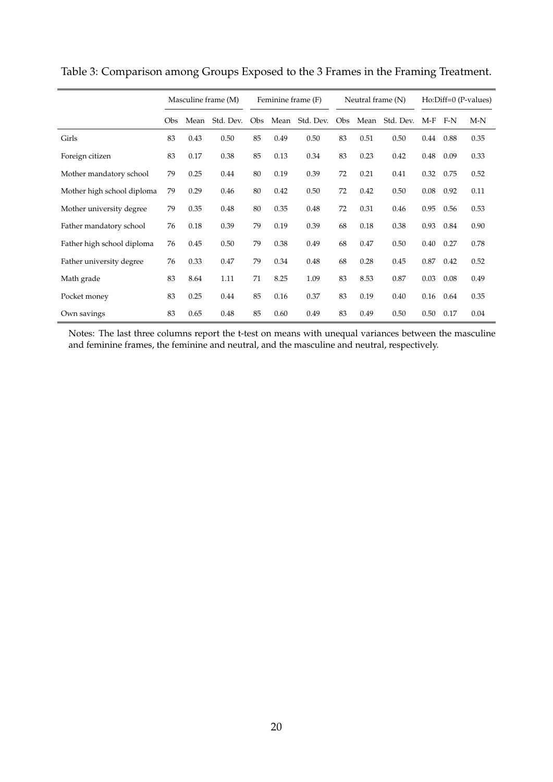|                            |     | Masculine frame (M) |           |     | Feminine frame (F) |           | Neutral frame (N) |      |           | $Ho:Diff=0 (P-values)$ |       |       |
|----------------------------|-----|---------------------|-----------|-----|--------------------|-----------|-------------------|------|-----------|------------------------|-------|-------|
|                            | Obs | Mean                | Std. Dev. | Obs | Mean               | Std. Dev. | Obs               | Mean | Std. Dev. | $M-F$                  | $F-N$ | $M-N$ |
| Girls                      | 83  | 0.43                | 0.50      | 85  | 0.49               | 0.50      | 83                | 0.51 | 0.50      | $0.44\,$               | 0.88  | 0.35  |
| Foreign citizen            | 83  | 0.17                | 0.38      | 85  | 0.13               | 0.34      | 83                | 0.23 | 0.42      | 0.48                   | 0.09  | 0.33  |
| Mother mandatory school    | 79  | 0.25                | 0.44      | 80  | 0.19               | 0.39      | 72                | 0.21 | 0.41      | 0.32                   | 0.75  | 0.52  |
| Mother high school diploma | 79  | 0.29                | 0.46      | 80  | 0.42               | 0.50      | 72                | 0.42 | 0.50      | 0.08                   | 0.92  | 0.11  |
| Mother university degree   | 79  | 0.35                | 0.48      | 80  | 0.35               | 0.48      | 72                | 0.31 | 0.46      | 0.95                   | 0.56  | 0.53  |
| Father mandatory school    | 76  | 0.18                | 0.39      | 79  | 0.19               | 0.39      | 68                | 0.18 | 0.38      | 0.93                   | 0.84  | 0.90  |
| Father high school diploma | 76  | 0.45                | 0.50      | 79  | 0.38               | 0.49      | 68                | 0.47 | 0.50      | 0.40                   | 0.27  | 0.78  |
| Father university degree   | 76  | 0.33                | 0.47      | 79  | 0.34               | 0.48      | 68                | 0.28 | 0.45      | 0.87                   | 0.42  | 0.52  |
| Math grade                 | 83  | 8.64                | 1.11      | 71  | 8.25               | 1.09      | 83                | 8.53 | 0.87      | 0.03                   | 0.08  | 0.49  |
| Pocket money               | 83  | 0.25                | 0.44      | 85  | 0.16               | 0.37      | 83                | 0.19 | 0.40      | 0.16                   | 0.64  | 0.35  |
| Own savings                | 83  | 0.65                | 0.48      | 85  | 0.60               | 0.49      | 83                | 0.49 | 0.50      | 0.50                   | 0.17  | 0.04  |

Table 3: Comparison among Groups Exposed to the 3 Frames in the Framing Treatment.

Notes: The last three columns report the t-test on means with unequal variances between the masculine and feminine frames, the feminine and neutral, and the masculine and neutral, respectively.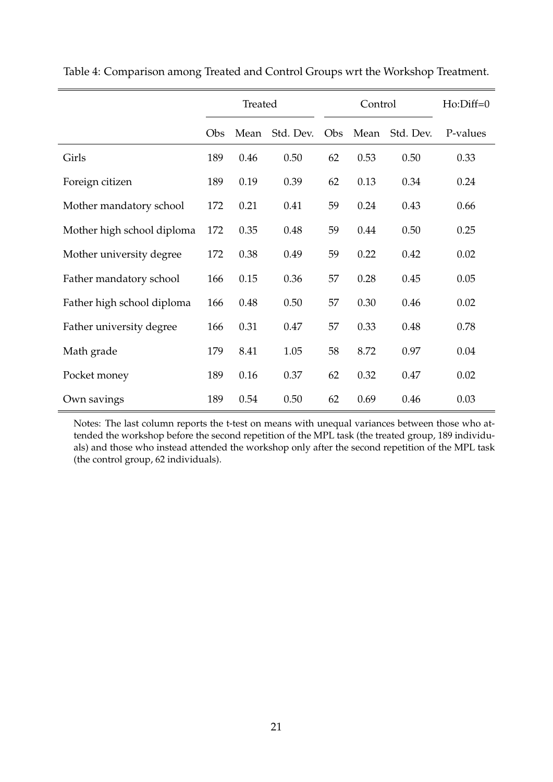|                            | Treated |      |           |     | Control | $Ho:Diff=0$ |          |
|----------------------------|---------|------|-----------|-----|---------|-------------|----------|
|                            | Obs     | Mean | Std. Dev. | Obs | Mean    | Std. Dev.   | P-values |
| Girls                      | 189     | 0.46 | 0.50      | 62  | 0.53    | 0.50        | 0.33     |
| Foreign citizen            | 189     | 0.19 | 0.39      | 62  | 0.13    | 0.34        | 0.24     |
| Mother mandatory school    | 172     | 0.21 | 0.41      | 59  | 0.24    | 0.43        | 0.66     |
| Mother high school diploma | 172     | 0.35 | 0.48      | 59  | 0.44    | 0.50        | 0.25     |
| Mother university degree   | 172     | 0.38 | 0.49      | 59  | 0.22    | 0.42        | 0.02     |
| Father mandatory school    | 166     | 0.15 | 0.36      | 57  | 0.28    | 0.45        | 0.05     |
| Father high school diploma | 166     | 0.48 | 0.50      | 57  | 0.30    | 0.46        | 0.02     |
| Father university degree   | 166     | 0.31 | 0.47      | 57  | 0.33    | 0.48        | 0.78     |
| Math grade                 | 179     | 8.41 | 1.05      | 58  | 8.72    | 0.97        | 0.04     |
| Pocket money               | 189     | 0.16 | 0.37      | 62  | 0.32    | 0.47        | 0.02     |
| Own savings                | 189     | 0.54 | 0.50      | 62  | 0.69    | 0.46        | 0.03     |

Table 4: Comparison among Treated and Control Groups wrt the Workshop Treatment.

Notes: The last column reports the t-test on means with unequal variances between those who attended the workshop before the second repetition of the MPL task (the treated group, 189 individuals) and those who instead attended the workshop only after the second repetition of the MPL task (the control group, 62 individuals).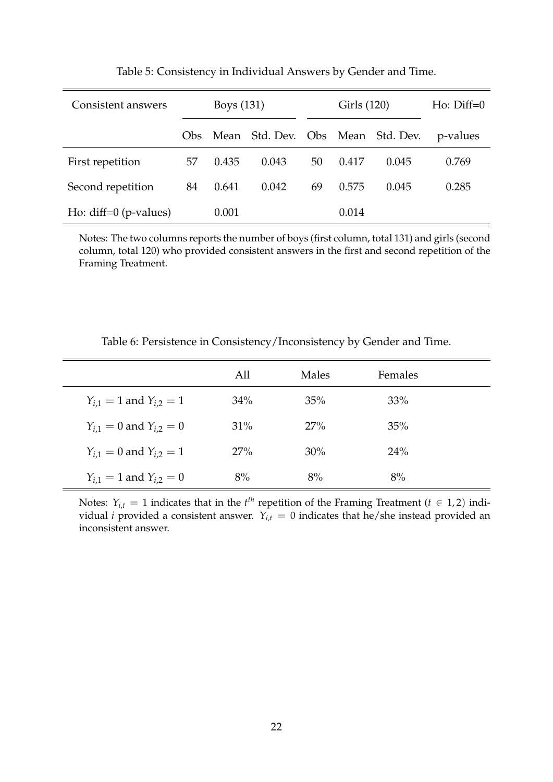| Consistent answers      |      | Boys (131) |                                   |    | Girls (120) | $H_0$ : $Diff=0$ |          |
|-------------------------|------|------------|-----------------------------------|----|-------------|------------------|----------|
|                         | Obs. |            | Mean Std. Dev. Obs Mean Std. Dev. |    |             |                  | p-values |
| First repetition        | 57   | 0.435      | 0.043                             | 50 | 0.417       | 0.045            | 0.769    |
| Second repetition       | 84   | 0.641      | 0.042                             | 69 | 0.575       | 0.045            | 0.285    |
| Ho: $diff=0$ (p-values) |      | 0.001      |                                   |    | 0.014       |                  |          |

Table 5: Consistency in Individual Answers by Gender and Time.

Notes: The two columns reports the number of boys (first column, total 131) and girls (second column, total 120) who provided consistent answers in the first and second repetition of the Framing Treatment.

Table 6: Persistence in Consistency/Inconsistency by Gender and Time.

|                                 | All | Males  | Females |  |
|---------------------------------|-----|--------|---------|--|
| $Y_{i,1} = 1$ and $Y_{i,2} = 1$ | 34% | 35%    | 33%     |  |
| $Y_{i,1} = 0$ and $Y_{i,2} = 0$ | 31% | 27%    | 35%     |  |
| $Y_{i,1} = 0$ and $Y_{i,2} = 1$ | 27% | $30\%$ | 24%     |  |
| $Y_{i,1} = 1$ and $Y_{i,2} = 0$ | 8%  | 8%     | 8%      |  |

Notes:  $Y_{i,t} = 1$  indicates that in the  $t^{th}$  repetition of the Framing Treatment ( $t \in 1,2$ ) individual *i* provided a consistent answer.  $Y_{i,t} = 0$  indicates that he/she instead provided an inconsistent answer.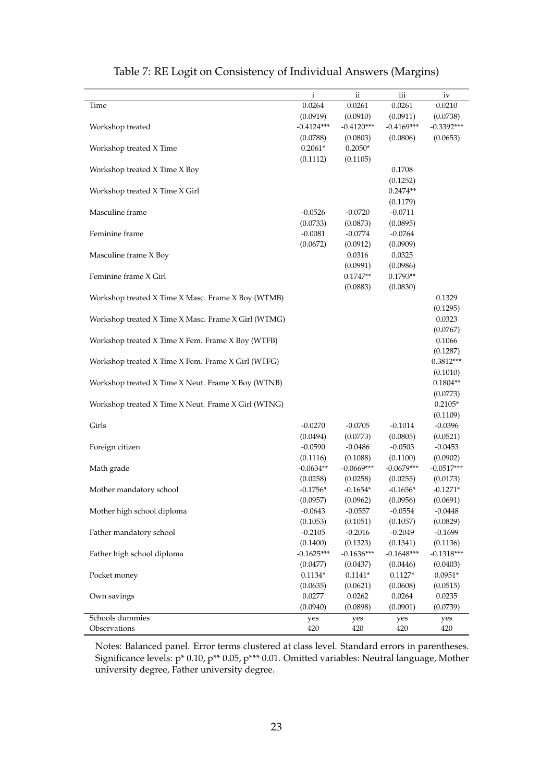|                                                     | i                  | $\mathbf{ii}$      | iii                | iv           |
|-----------------------------------------------------|--------------------|--------------------|--------------------|--------------|
| Time                                                | 0.0264             | 0.0261             | 0.0261             | 0.0210       |
|                                                     | (0.0919)           | (0.0910)           | (0.0911)           | (0.0738)     |
| Workshop treated                                    | $-0.4124***$       | $-0.4120***$       | $-0.4169***$       | $-0.3392***$ |
|                                                     | (0.0788)           | (0.0803)           | (0.0806)           | (0.0653)     |
| Workshop treated X Time                             | $0.2061*$          | $0.2050*$          |                    |              |
|                                                     | (0.1112)           | (0.1105)           |                    |              |
| Workshop treated X Time X Boy                       |                    |                    | 0.1708             |              |
|                                                     |                    |                    | (0.1252)           |              |
| Workshop treated X Time X Girl                      |                    |                    | $0.2474**$         |              |
|                                                     |                    |                    | (0.1179)           |              |
| Masculine frame                                     | $-0.0526$          | $-0.0720$          | $-0.0711$          |              |
|                                                     | (0.0733)           | (0.0873)           | (0.0895)           |              |
| Feminine frame                                      | $-0.0081$          | $-0.0774$          | $-0.0764$          |              |
|                                                     | (0.0672)           | (0.0912)           | (0.0909)           |              |
| Masculine frame X Boy                               |                    | 0.0316             | 0.0325             |              |
|                                                     |                    | (0.0991)           | (0.0986)           |              |
| Feminine frame X Girl                               |                    | $0.1747**$         | $0.1793**$         |              |
|                                                     |                    | (0.0883)           | (0.0830)           |              |
| Workshop treated X Time X Masc. Frame X Boy (WTMB)  |                    |                    |                    | 0.1329       |
|                                                     |                    |                    |                    | (0.1295)     |
|                                                     |                    |                    |                    | 0.0323       |
| Workshop treated X Time X Masc. Frame X Girl (WTMG) |                    |                    |                    |              |
|                                                     |                    |                    |                    | (0.0767)     |
| Workshop treated X Time X Fem. Frame X Boy (WTFB)   |                    |                    |                    | 0.1066       |
|                                                     |                    |                    |                    | (0.1287)     |
| Workshop treated X Time X Fem. Frame X Girl (WTFG)  |                    |                    |                    | $0.3812***$  |
|                                                     |                    |                    |                    | (0.1010)     |
| Workshop treated X Time X Neut. Frame X Boy (WTNB)  |                    |                    |                    | $0.1804**$   |
|                                                     |                    |                    |                    | (0.0773)     |
| Workshop treated X Time X Neut. Frame X Girl (WTNG) |                    |                    |                    | $0.2105*$    |
|                                                     |                    |                    |                    | (0.1109)     |
| Girls                                               | $-0.0270$          | $-0.0705$          | $-0.1014$          | $-0.0396$    |
|                                                     | (0.0494)           | (0.0773)           | (0.0805)           | (0.0521)     |
| Foreign citizen                                     | $-0.0590$          | $-0.0486$          | $-0.0503$          | $-0.0453$    |
|                                                     | (0.1116)           | (0.1088)           | (0.1100)           | (0.0902)     |
| Math grade                                          | $-0.0634**$        | $-0.0669***$       | $-0.0679***$       | $-0.0517***$ |
|                                                     | (0.0258)           | (0.0258)           | (0.0255)           | (0.0173)     |
| Mother mandatory school                             | $-0.1756*$         | $-0.1654*$         | $-0.1656*$         | $-0.1271*$   |
|                                                     | (0.0957)           | (0.0962)           | (0.0956)           | (0.0691)     |
| Mother high school diploma                          | $-0.0643$          | $-0.0557$          | $-0.0554$          | $-0.0448$    |
|                                                     | (0.1053)           | (0.1051)           | (0.1057)           | (0.0829)     |
| Father mandatory school                             | $-0.2105$          | $-0.2016$          | $-0.2049$          | $-0.1699$    |
|                                                     | (0.1400)           | (0.1323)           | (0.1341)           | (0.1136)     |
| Father high school diploma                          | $-0.1625***$       | $-0.1636***$       | $-0.1648***$       | $-0.1318***$ |
|                                                     | (0.0477)           | (0.0437)           | (0.0446)           | (0.0403)     |
| Pocket money                                        | $0.1134*$          | $0.1141*$          | $0.1127*$          | $0.0951*$    |
|                                                     |                    |                    |                    |              |
|                                                     | (0.0635)<br>0.0277 | (0.0621)<br>0.0262 | (0.0608)<br>0.0264 | (0.0515)     |
| Own savings                                         |                    |                    |                    | 0.0235       |
|                                                     | (0.0940)           | (0.0898)           | (0.0901)           | (0.0739)     |
| Schools dummies                                     | yes                | yes                | yes                | yes          |
| Observations                                        | 420                | 420                | 420                | 420          |

## Table 7: RE Logit on Consistency of Individual Answers (Margins)

Notes: Balanced panel. Error terms clustered at class level. Standard errors in parentheses. Significance levels: p\* 0.10, p\*\* 0.05, p\*\*\* 0.01. Omitted variables: Neutral language, Mother university degree, Father university degree.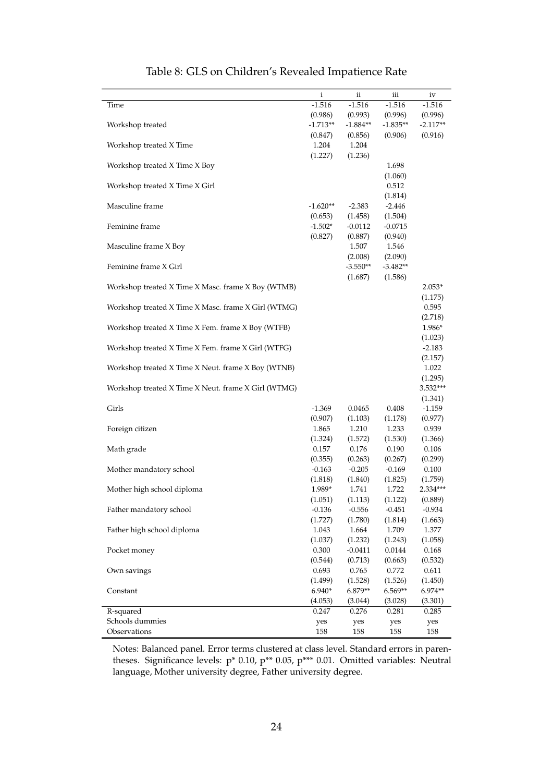|                                                     | $\mathbf{i}$ | ii         | iii        | iv         |
|-----------------------------------------------------|--------------|------------|------------|------------|
| Time                                                | $-1.516$     | $-1.516$   | $-1.516$   | $-1.516$   |
|                                                     | (0.986)      | (0.993)    | (0.996)    | (0.996)    |
| Workshop treated                                    | $-1.713**$   | $-1.884**$ | $-1.835**$ | $-2.117**$ |
|                                                     | (0.847)      | (0.856)    | (0.906)    | (0.916)    |
| Workshop treated X Time                             | 1.204        | 1.204      |            |            |
|                                                     | (1.227)      | (1.236)    |            |            |
| Workshop treated X Time X Boy                       |              |            | 1.698      |            |
|                                                     |              |            | (1.060)    |            |
| Workshop treated X Time X Girl                      |              |            |            |            |
|                                                     |              |            | 0.512      |            |
|                                                     |              |            | (1.814)    |            |
| Masculine frame                                     | $-1.620**$   | $-2.383$   | $-2.446$   |            |
|                                                     | (0.653)      | (1.458)    | (1.504)    |            |
| Feminine frame                                      | $-1.502*$    | $-0.0112$  | $-0.0715$  |            |
|                                                     | (0.827)      | (0.887)    | (0.940)    |            |
| Masculine frame X Boy                               |              | 1.507      | 1.546      |            |
|                                                     |              | (2.008)    | (2.090)    |            |
| Feminine frame X Girl                               |              | $-3.550**$ | $-3.482**$ |            |
|                                                     |              | (1.687)    | (1.586)    |            |
| Workshop treated X Time X Masc. frame X Boy (WTMB)  |              |            |            | $2.053*$   |
|                                                     |              |            |            | (1.175)    |
| Workshop treated X Time X Masc. frame X Girl (WTMG) |              |            |            | 0.595      |
|                                                     |              |            |            | (2.718)    |
|                                                     |              |            |            | 1.986*     |
| Workshop treated X Time X Fem. frame X Boy (WTFB)   |              |            |            |            |
|                                                     |              |            |            | (1.023)    |
| Workshop treated X Time X Fem. frame X Girl (WTFG)  |              |            |            | $-2.183$   |
|                                                     |              |            |            | (2.157)    |
| Workshop treated X Time X Neut. frame X Boy (WTNB)  |              |            |            | 1.022      |
|                                                     |              |            |            | (1.295)    |
| Workshop treated X Time X Neut. frame X Girl (WTMG) |              |            |            | 3.532***   |
|                                                     |              |            |            | (1.341)    |
| Girls                                               | $-1.369$     | 0.0465     | 0.408      | $-1.159$   |
|                                                     | (0.907)      | (1.103)    | (1.178)    | (0.977)    |
| Foreign citizen                                     | 1.865        | 1.210      | 1.233      | 0.939      |
|                                                     | (1.324)      | (1.572)    | (1.530)    | (1.366)    |
| Math grade                                          | 0.157        | 0.176      | 0.190      | 0.106      |
|                                                     | (0.355)      | (0.263)    | (0.267)    | (0.299)    |
| Mother mandatory school                             | $-0.163$     | $-0.205$   | $-0.169$   | 0.100      |
|                                                     |              |            |            |            |
|                                                     | (1.818)      | (1.840)    | (1.825)    | (1.759)    |
| Mother high school diploma                          | 1.989*       | 1.741      | 1.722      | $2.334***$ |
|                                                     | (1.051)      | (1.113)    | (1.122)    | (0.889)    |
| Father mandatory school                             | $-0.136$     | $-0.556$   | $-0.451$   | $-0.934$   |
|                                                     | (1.727)      | (1.780)    | (1.814)    | (1.663)    |
| Father high school diploma                          | 1.043        | 1.664      | 1.709      | 1.377      |
|                                                     | (1.037)      | (1.232)    | (1.243)    | (1.058)    |
| Pocket money                                        | 0.300        | $-0.0411$  | 0.0144     | 0.168      |
|                                                     | (0.544)      | (0.713)    | (0.663)    | (0.532)    |
| Own savings                                         | 0.693        | 0.765      | 0.772      | 0.611      |
|                                                     | (1.499)      | (1.528)    | (1.526)    | (1.450)    |
| Constant                                            | $6.940*$     | 6.879**    | 6.569**    | 6.974**    |
|                                                     | (4.053)      | (3.044)    | (3.028)    | (3.301)    |
| R-squared                                           | 0.247        | 0.276      | 0.281      | 0.285      |
| Schools dummies                                     |              |            |            |            |
|                                                     | yes          | yes        | yes        | yes        |
| Observations                                        | 158          | 158        | 158        | 158        |

## Table 8: GLS on Children's Revealed Impatience Rate

Notes: Balanced panel. Error terms clustered at class level. Standard errors in parentheses. Significance levels: p\* 0.10, p\*\* 0.05, p\*\*\* 0.01. Omitted variables: Neutral language, Mother university degree, Father university degree.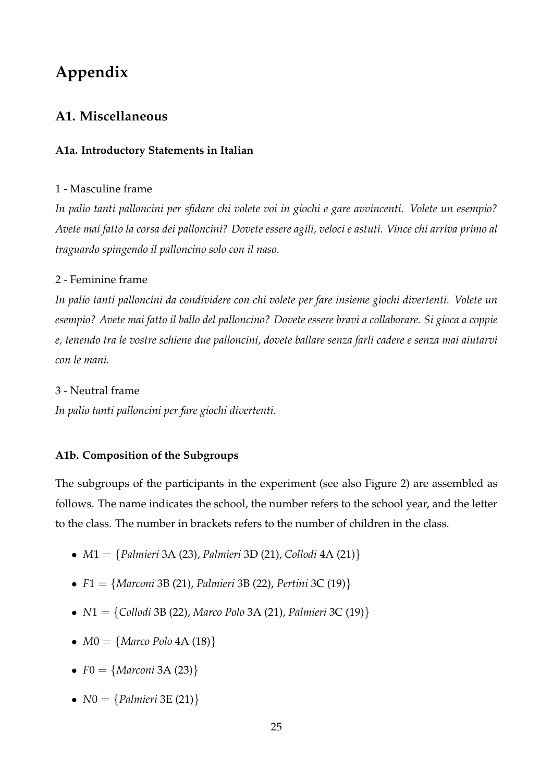# **Appendix**

## **A1. Miscellaneous**

## **A1a. Introductory Statements in Italian**

### 1 - Masculine frame

*In palio tanti palloncini per sfidare chi volete voi in giochi e gare avvincenti. Volete un esempio? Avete mai fatto la corsa dei palloncini? Dovete essere agili, veloci e astuti. Vince chi arriva primo al traguardo spingendo il palloncino solo con il naso.*

## 2 - Feminine frame

*In palio tanti palloncini da condividere con chi volete per fare insieme giochi divertenti. Volete un esempio? Avete mai fatto il ballo del palloncino? Dovete essere bravi a collaborare. Si gioca a coppie e, tenendo tra le vostre schiene due palloncini, dovete ballare senza farli cadere e senza mai aiutarvi con le mani.*

### 3 - Neutral frame

*In palio tanti palloncini per fare giochi divertenti.*

### **A1b. Composition of the Subgroups**

The subgroups of the participants in the experiment (see also Figure 2) are assembled as follows. The name indicates the school, the number refers to the school year, and the letter to the class. The number in brackets refers to the number of children in the class.

- *M*1 = {*Palmieri* 3A (23), *Palmieri* 3D (21), *Collodi* 4A (21)}
- *F*1 = {*Marconi* 3B (21), *Palmieri* 3B (22), *Pertini* 3C (19)}
- *N*1 = {*Collodi* 3B (22), *Marco Polo* 3A (21), *Palmieri* 3C (19)}
- $M0 = \{ Marco \ Polo \ 4A \ (18) \}$
- $F0 = \{Marconi 3A (23)\}\$
- $N0 = \{Palmieri 3E (21)\}\$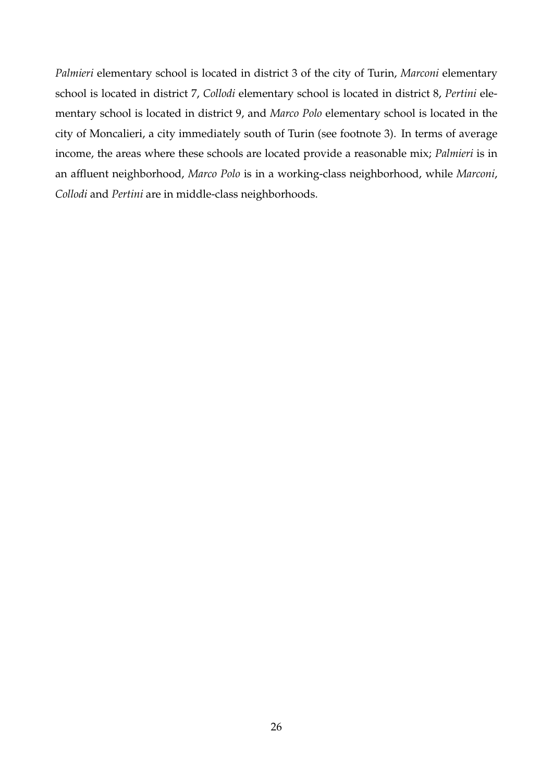*Palmieri* elementary school is located in district 3 of the city of Turin, *Marconi* elementary school is located in district 7, *Collodi* elementary school is located in district 8, *Pertini* elementary school is located in district 9, and *Marco Polo* elementary school is located in the city of Moncalieri, a city immediately south of Turin (see footnote 3). In terms of average income, the areas where these schools are located provide a reasonable mix; *Palmieri* is in an affluent neighborhood, *Marco Polo* is in a working-class neighborhood, while *Marconi*, *Collodi* and *Pertini* are in middle-class neighborhoods.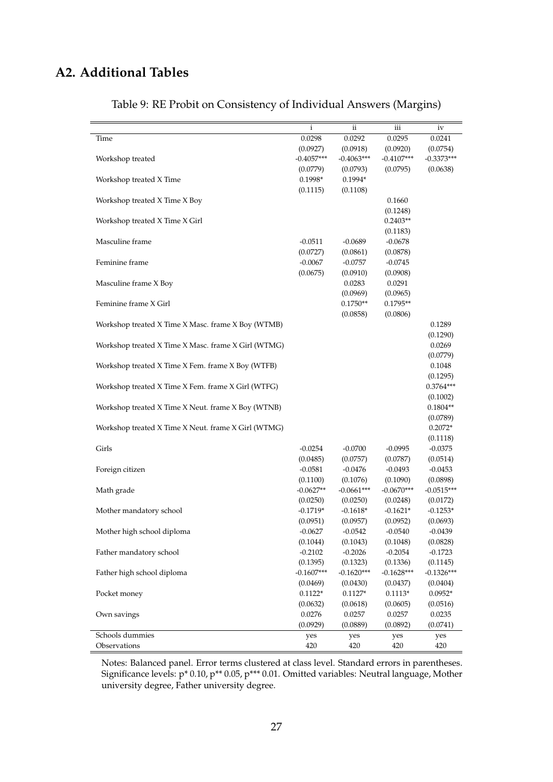## **A2. Additional Tables**

|                                                     | $\mathbf{i}$ | $\mathbf{ii}$ | iii          | iv           |
|-----------------------------------------------------|--------------|---------------|--------------|--------------|
| Time                                                | 0.0298       | 0.0292        | 0.0295       | 0.0241       |
|                                                     | (0.0927)     | (0.0918)      | (0.0920)     | (0.0754)     |
| Workshop treated                                    | $-0.4057***$ | $-0.4063***$  | $-0.4107***$ | $-0.3373***$ |
|                                                     | (0.0779)     | (0.0793)      | (0.0795)     | (0.0638)     |
| Workshop treated X Time                             | 0.1998*      | 0.1994*       |              |              |
|                                                     | (0.1115)     | (0.1108)      |              |              |
| Workshop treated X Time X Boy                       |              |               | 0.1660       |              |
|                                                     |              |               | (0.1248)     |              |
| Workshop treated X Time X Girl                      |              |               | $0.2403**$   |              |
|                                                     |              |               | (0.1183)     |              |
| Masculine frame                                     | $-0.0511$    | $-0.0689$     | $-0.0678$    |              |
|                                                     | (0.0727)     | (0.0861)      | (0.0878)     |              |
| Feminine frame                                      | $-0.0067$    | $-0.0757$     | $-0.0745$    |              |
|                                                     | (0.0675)     |               | (0.0908)     |              |
|                                                     |              | (0.0910)      |              |              |
| Masculine frame X Boy                               |              | 0.0283        | 0.0291       |              |
|                                                     |              | (0.0969)      | (0.0965)     |              |
| Feminine frame X Girl                               |              | $0.1750**$    | $0.1795**$   |              |
|                                                     |              | (0.0858)      | (0.0806)     |              |
| Workshop treated X Time X Masc. frame X Boy (WTMB)  |              |               |              | 0.1289       |
|                                                     |              |               |              | (0.1290)     |
| Workshop treated X Time X Masc. frame X Girl (WTMG) |              |               |              | 0.0269       |
|                                                     |              |               |              | (0.0779)     |
| Workshop treated X Time X Fem. frame X Boy (WTFB)   |              |               |              | 0.1048       |
|                                                     |              |               |              | (0.1295)     |
| Workshop treated X Time X Fem. frame X Girl (WTFG)  |              |               |              | $0.3764***$  |
|                                                     |              |               |              | (0.1002)     |
| Workshop treated X Time X Neut. frame X Boy (WTNB)  |              |               |              | $0.1804**$   |
|                                                     |              |               |              | (0.0789)     |
| Workshop treated X Time X Neut. frame X Girl (WTMG) |              |               |              | $0.2072*$    |
|                                                     |              |               |              |              |
|                                                     |              |               |              | (0.1118)     |
| Girls                                               | $-0.0254$    | $-0.0700$     | $-0.0995$    | $-0.0375$    |
|                                                     | (0.0485)     | (0.0757)      | (0.0787)     | (0.0514)     |
| Foreign citizen                                     | $-0.0581$    | $-0.0476$     | $-0.0493$    | $-0.0453$    |
|                                                     | (0.1100)     | (0.1076)      | (0.1090)     | (0.0898)     |
| Math grade                                          | $-0.0627**$  | $-0.0661***$  | $-0.0670***$ | $-0.0515***$ |
|                                                     | (0.0250)     | (0.0250)      | (0.0248)     | (0.0172)     |
| Mother mandatory school                             | $-0.1719*$   | $-0.1618*$    | $-0.1621*$   | $-0.1253*$   |
|                                                     | (0.0951)     | (0.0957)      | (0.0952)     | (0.0693)     |
| Mother high school diploma                          | $-0.0627$    | $-0.0542$     | $-0.0540$    | $-0.0439$    |
|                                                     | (0.1044)     | (0.1043)      | (0.1048)     | (0.0828)     |
| Father mandatory school                             | $-0.2102$    | $-0.2026$     | $-0.2054$    | $-0.1723$    |
|                                                     | (0.1395)     | (0.1323)      | (0.1336)     | (0.1145)     |
| Father high school diploma                          | $-0.1607***$ | $-0.1620***$  | $-0.1628***$ | $-0.1326***$ |
|                                                     | (0.0469)     | (0.0430)      | (0.0437)     | (0.0404)     |
| Pocket money                                        | $0.1122*$    | $0.1127*$     | $0.1113*$    | $0.0952*$    |
|                                                     | (0.0632)     | (0.0618)      | (0.0605)     | (0.0516)     |
| Own savings                                         | 0.0276       | 0.0257        | 0.0257       | 0.0235       |
|                                                     |              |               |              |              |
|                                                     | (0.0929)     | (0.0889)      | (0.0892)     | (0.0741)     |
| Schools dummies                                     | yes          | yes           | yes          | yes          |
| Observations                                        | 420          | 420           | 420          | 420          |

## Table 9: RE Probit on Consistency of Individual Answers (Margins)

Notes: Balanced panel. Error terms clustered at class level. Standard errors in parentheses. Significance levels: p\* 0.10, p\*\* 0.05, p\*\*\* 0.01. Omitted variables: Neutral language, Mother university degree, Father university degree.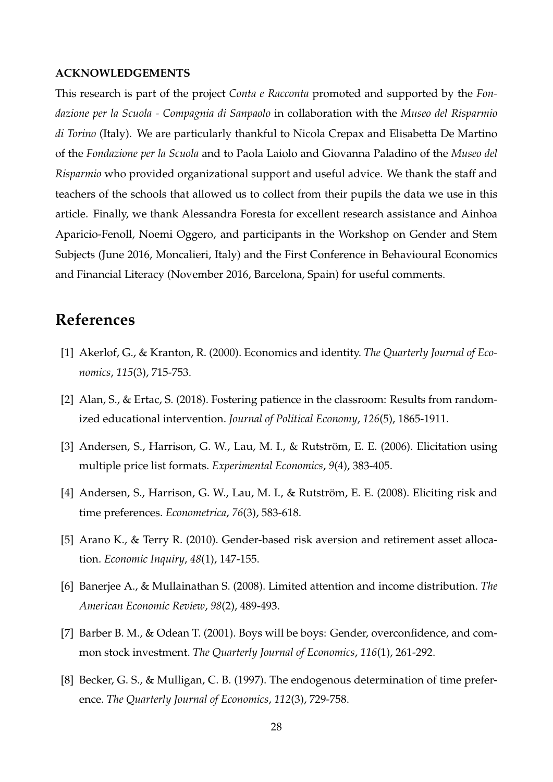#### **ACKNOWLEDGEMENTS**

This research is part of the project *Conta e Racconta* promoted and supported by the *Fondazione per la Scuola - Compagnia di Sanpaolo* in collaboration with the *Museo del Risparmio di Torino* (Italy). We are particularly thankful to Nicola Crepax and Elisabetta De Martino of the *Fondazione per la Scuola* and to Paola Laiolo and Giovanna Paladino of the *Museo del Risparmio* who provided organizational support and useful advice. We thank the staff and teachers of the schools that allowed us to collect from their pupils the data we use in this article. Finally, we thank Alessandra Foresta for excellent research assistance and Ainhoa Aparicio-Fenoll, Noemi Oggero, and participants in the Workshop on Gender and Stem Subjects (June 2016, Moncalieri, Italy) and the First Conference in Behavioural Economics and Financial Literacy (November 2016, Barcelona, Spain) for useful comments.

## **References**

- [1] Akerlof, G., & Kranton, R. (2000). Economics and identity. *The Quarterly Journal of Economics*, *115*(3), 715-753.
- [2] Alan, S., & Ertac, S. (2018). Fostering patience in the classroom: Results from randomized educational intervention. *Journal of Political Economy*, *126*(5), 1865-1911.
- [3] Andersen, S., Harrison, G. W., Lau, M. I., & Rutström, E. E. (2006). Elicitation using multiple price list formats. *Experimental Economics*, *9*(4), 383-405.
- [4] Andersen, S., Harrison, G. W., Lau, M. I., & Rutström, E. E. (2008). Eliciting risk and time preferences. *Econometrica*, *76*(3), 583-618.
- [5] Arano K., & Terry R. (2010). Gender-based risk aversion and retirement asset allocation. *Economic Inquiry*, *48*(1), 147-155.
- [6] Banerjee A., & Mullainathan S. (2008). Limited attention and income distribution. *The American Economic Review*, *98*(2), 489-493.
- [7] Barber B. M., & Odean T. (2001). Boys will be boys: Gender, overconfidence, and common stock investment. *The Quarterly Journal of Economics*, *116*(1), 261-292.
- [8] Becker, G. S., & Mulligan, C. B. (1997). The endogenous determination of time preference. *The Quarterly Journal of Economics*, *112*(3), 729-758.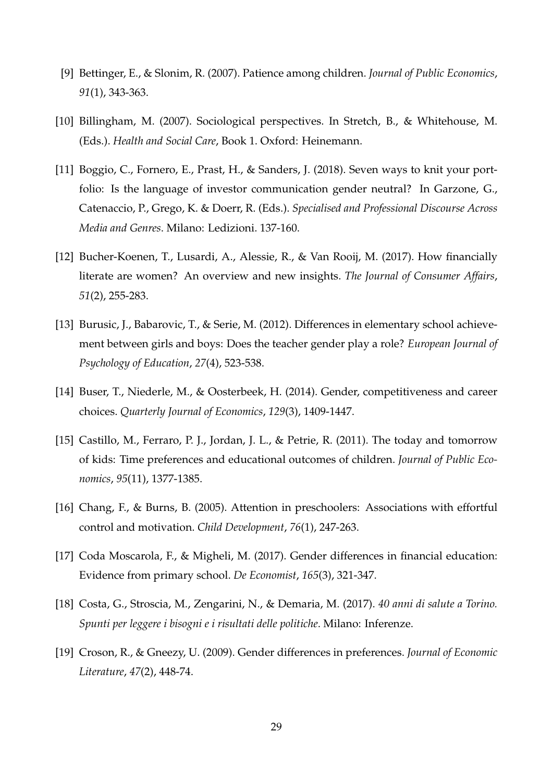- [9] Bettinger, E., & Slonim, R. (2007). Patience among children. *Journal of Public Economics*, *91*(1), 343-363.
- [10] Billingham, M. (2007). Sociological perspectives. In Stretch, B., & Whitehouse, M. (Eds.). *Health and Social Care*, Book 1. Oxford: Heinemann.
- [11] Boggio, C., Fornero, E., Prast, H., & Sanders, J. (2018). Seven ways to knit your portfolio: Is the language of investor communication gender neutral? In Garzone, G., Catenaccio, P., Grego, K. & Doerr, R. (Eds.). *Specialised and Professional Discourse Across Media and Genres*. Milano: Ledizioni. 137-160.
- [12] Bucher-Koenen, T., Lusardi, A., Alessie, R., & Van Rooij, M. (2017). How financially literate are women? An overview and new insights. *The Journal of Consumer Affairs*, *51*(2), 255-283.
- [13] Burusic, J., Babarovic, T., & Serie, M. (2012). Differences in elementary school achievement between girls and boys: Does the teacher gender play a role? *European Journal of Psychology of Education*, *27*(4), 523-538.
- [14] Buser, T., Niederle, M., & Oosterbeek, H. (2014). Gender, competitiveness and career choices. *Quarterly Journal of Economics*, *129*(3), 1409-1447.
- [15] Castillo, M., Ferraro, P. J., Jordan, J. L., & Petrie, R. (2011). The today and tomorrow of kids: Time preferences and educational outcomes of children. *Journal of Public Economics*, *95*(11), 1377-1385.
- [16] Chang, F., & Burns, B. (2005). Attention in preschoolers: Associations with effortful control and motivation. *Child Development*, *76*(1), 247-263.
- [17] Coda Moscarola, F., & Migheli, M. (2017). Gender differences in financial education: Evidence from primary school. *De Economist*, *165*(3), 321-347.
- [18] Costa, G., Stroscia, M., Zengarini, N., & Demaria, M. (2017). *40 anni di salute a Torino. Spunti per leggere i bisogni e i risultati delle politiche*. Milano: Inferenze.
- [19] Croson, R., & Gneezy, U. (2009). Gender differences in preferences. *Journal of Economic Literature*, *47*(2), 448-74.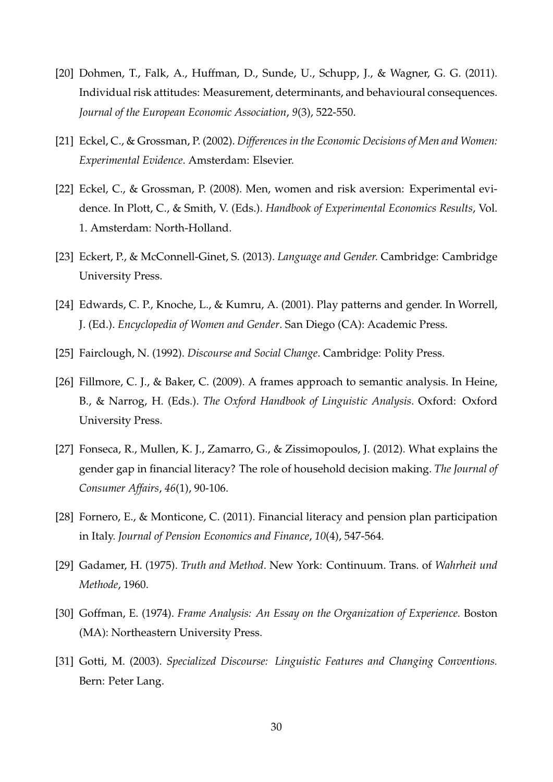- [20] Dohmen, T., Falk, A., Huffman, D., Sunde, U., Schupp, J., & Wagner, G. G. (2011). Individual risk attitudes: Measurement, determinants, and behavioural consequences. *Journal of the European Economic Association*, *9*(3), 522-550.
- [21] Eckel, C., & Grossman, P. (2002). *Differences in the Economic Decisions of Men and Women: Experimental Evidence*. Amsterdam: Elsevier.
- [22] Eckel, C., & Grossman, P. (2008). Men, women and risk aversion: Experimental evidence. In Plott, C., & Smith, V. (Eds.). *Handbook of Experimental Economics Results*, Vol. 1. Amsterdam: North-Holland.
- [23] Eckert, P., & McConnell-Ginet, S. (2013). *Language and Gender.* Cambridge: Cambridge University Press.
- [24] Edwards, C. P., Knoche, L., & Kumru, A. (2001). Play patterns and gender. In Worrell, J. (Ed.). *Encyclopedia of Women and Gender*. San Diego (CA): Academic Press.
- [25] Fairclough, N. (1992). *Discourse and Social Change*. Cambridge: Polity Press.
- [26] Fillmore, C. J., & Baker, C. (2009). A frames approach to semantic analysis. In Heine, B., & Narrog, H. (Eds.). *The Oxford Handbook of Linguistic Analysis*. Oxford: Oxford University Press.
- [27] Fonseca, R., Mullen, K. J., Zamarro, G., & Zissimopoulos, J. (2012). What explains the gender gap in financial literacy? The role of household decision making. *The Journal of Consumer Affairs*, *46*(1), 90-106.
- [28] Fornero, E., & Monticone, C. (2011). Financial literacy and pension plan participation in Italy. *Journal of Pension Economics and Finance*, *10*(4), 547-564.
- [29] Gadamer, H. (1975). *Truth and Method*. New York: Continuum. Trans. of *Wahrheit und Methode*, 1960.
- [30] Goffman, E. (1974). *Frame Analysis: An Essay on the Organization of Experience.* Boston (MA): Northeastern University Press.
- [31] Gotti, M. (2003). *Specialized Discourse: Linguistic Features and Changing Conventions.* Bern: Peter Lang.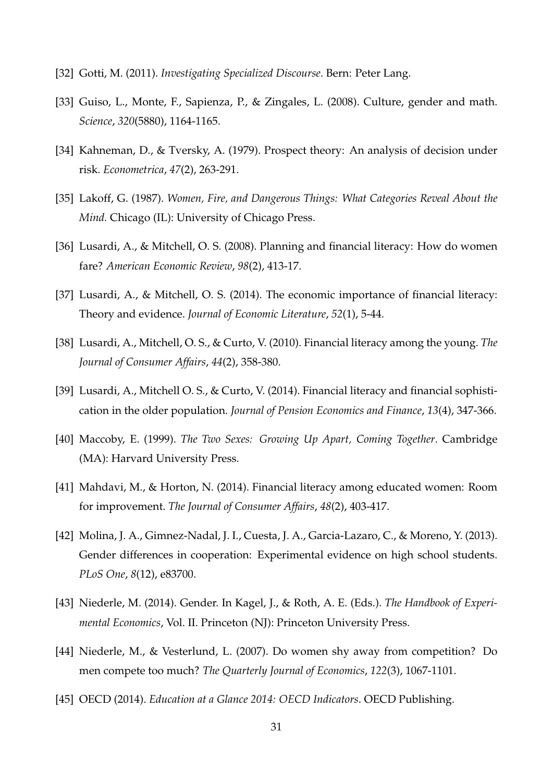- [32] Gotti, M. (2011). *Investigating Specialized Discourse*. Bern: Peter Lang.
- [33] Guiso, L., Monte, F., Sapienza, P., & Zingales, L. (2008). Culture, gender and math. *Science*, *320*(5880), 1164-1165.
- [34] Kahneman, D., & Tversky, A. (1979). Prospect theory: An analysis of decision under risk. *Econometrica*, *47*(2), 263-291.
- [35] Lakoff, G. (1987). *Women, Fire, and Dangerous Things: What Categories Reveal About the Mind.* Chicago (IL): University of Chicago Press.
- [36] Lusardi, A., & Mitchell, O. S. (2008). Planning and financial literacy: How do women fare? *American Economic Review*, *98*(2), 413-17.
- [37] Lusardi, A., & Mitchell, O. S. (2014). The economic importance of financial literacy: Theory and evidence. *Journal of Economic Literature*, *52*(1), 5-44.
- [38] Lusardi, A., Mitchell, O. S., & Curto, V. (2010). Financial literacy among the young. *The Journal of Consumer Affairs*, *44*(2), 358-380.
- [39] Lusardi, A., Mitchell O. S., & Curto, V. (2014). Financial literacy and financial sophistication in the older population. *Journal of Pension Economics and Finance*, *13*(4), 347-366.
- [40] Maccoby, E. (1999). *The Two Sexes: Growing Up Apart, Coming Together*. Cambridge (MA): Harvard University Press.
- [41] Mahdavi, M., & Horton, N. (2014). Financial literacy among educated women: Room for improvement. *The Journal of Consumer Affairs*, *48*(2), 403-417.
- [42] Molina, J. A., Gimnez-Nadal, J. I., Cuesta, J. A., Garcia-Lazaro, C., & Moreno, Y. (2013). Gender differences in cooperation: Experimental evidence on high school students. *PLoS One*, *8*(12), e83700.
- [43] Niederle, M. (2014). Gender. In Kagel, J., & Roth, A. E. (Eds.). *The Handbook of Experimental Economics*, Vol. II. Princeton (NJ): Princeton University Press.
- [44] Niederle, M., & Vesterlund, L. (2007). Do women shy away from competition? Do men compete too much? *The Quarterly Journal of Economics*, *122*(3), 1067-1101.
- [45] OECD (2014). *Education at a Glance 2014: OECD Indicators*. OECD Publishing.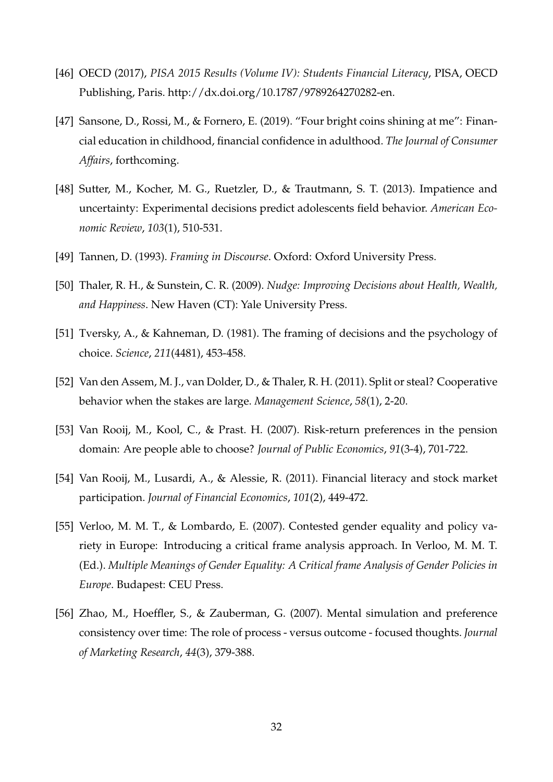- [46] OECD (2017), *PISA 2015 Results (Volume IV): Students Financial Literacy*, PISA, OECD Publishing, Paris. http://dx.doi.org/10.1787/9789264270282-en.
- [47] Sansone, D., Rossi, M., & Fornero, E. (2019). "Four bright coins shining at me": Financial education in childhood, financial confidence in adulthood. *The Journal of Consumer Affairs*, forthcoming.
- [48] Sutter, M., Kocher, M. G., Ruetzler, D., & Trautmann, S. T. (2013). Impatience and uncertainty: Experimental decisions predict adolescents field behavior. *American Economic Review*, *103*(1), 510-531.
- [49] Tannen, D. (1993). *Framing in Discourse*. Oxford: Oxford University Press.
- [50] Thaler, R. H., & Sunstein, C. R. (2009). *Nudge: Improving Decisions about Health, Wealth, and Happiness*. New Haven (CT): Yale University Press.
- [51] Tversky, A., & Kahneman, D. (1981). The framing of decisions and the psychology of choice. *Science*, *211*(4481), 453-458.
- [52] Van den Assem, M. J., van Dolder, D., & Thaler, R. H. (2011). Split or steal? Cooperative behavior when the stakes are large. *Management Science*, *58*(1), 2-20.
- [53] Van Rooij, M., Kool, C., & Prast. H. (2007). Risk-return preferences in the pension domain: Are people able to choose? *Journal of Public Economics*, *91*(3-4), 701-722.
- [54] Van Rooij, M., Lusardi, A., & Alessie, R. (2011). Financial literacy and stock market participation. *Journal of Financial Economics*, *101*(2), 449-472.
- [55] Verloo, M. M. T., & Lombardo, E. (2007). Contested gender equality and policy variety in Europe: Introducing a critical frame analysis approach. In Verloo, M. M. T. (Ed.). *Multiple Meanings of Gender Equality: A Critical frame Analysis of Gender Policies in Europe*. Budapest: CEU Press.
- [56] Zhao, M., Hoeffler, S., & Zauberman, G. (2007). Mental simulation and preference consistency over time: The role of process - versus outcome - focused thoughts. *Journal of Marketing Research*, *44*(3), 379-388.